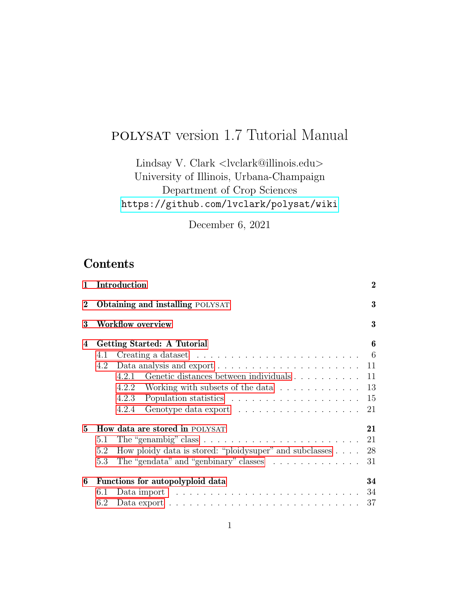# polysat version 1.7 Tutorial Manual

Lindsay V. Clark <lvclark@illinois.edu> University of Illinois, Urbana-Champaign Department of Crop Sciences <https://github.com/lvclark/polysat/wiki>

December 6, 2021

# **Contents**

| $\mathbf{1}$ | Introduction                                                                                 | $\bf{2}$ |  |  |  |  |  |
|--------------|----------------------------------------------------------------------------------------------|----------|--|--|--|--|--|
| $\bf{2}$     | <b>Obtaining and installing POLYSAT</b>                                                      |          |  |  |  |  |  |
| 3            | <b>Workflow overview</b>                                                                     | $\bf{3}$ |  |  |  |  |  |
| 4            | Getting Started: A Tutorial                                                                  | 6        |  |  |  |  |  |
|              | Creating a dataset $\ldots \ldots \ldots \ldots \ldots \ldots \ldots \ldots$<br>4.1          |          |  |  |  |  |  |
|              | 4.2                                                                                          |          |  |  |  |  |  |
|              | 4.2.1 Genetic distances between individuals 11                                               |          |  |  |  |  |  |
|              | 4.2.2 Working with subsets of the data 13                                                    |          |  |  |  |  |  |
|              | 4.2.3                                                                                        | 15       |  |  |  |  |  |
|              | 4.2.4                                                                                        | 21       |  |  |  |  |  |
| 5.           | <b>How data are stored in POLYSAT</b>                                                        | 21       |  |  |  |  |  |
|              | The "genambig" class $\ldots \ldots \ldots \ldots \ldots \ldots \ldots \ldots$<br>5.1        | 21       |  |  |  |  |  |
|              | How ploidy data is stored: "ploidy super" and subclasses<br>5.2                              | 28       |  |  |  |  |  |
|              | The "gendata" and "genbinary" classes $\ldots \ldots \ldots \ldots$<br>5.3                   | 31       |  |  |  |  |  |
| 6            | Functions for autopolyploid data                                                             | 34       |  |  |  |  |  |
|              | Data import $\dots \dots \dots \dots \dots \dots \dots \dots \dots \dots \dots 34$<br>6.1    |          |  |  |  |  |  |
|              | Data export $\dots \dots \dots \dots \dots \dots \dots \dots \dots \dots \dots \dots$<br>6.2 | 37       |  |  |  |  |  |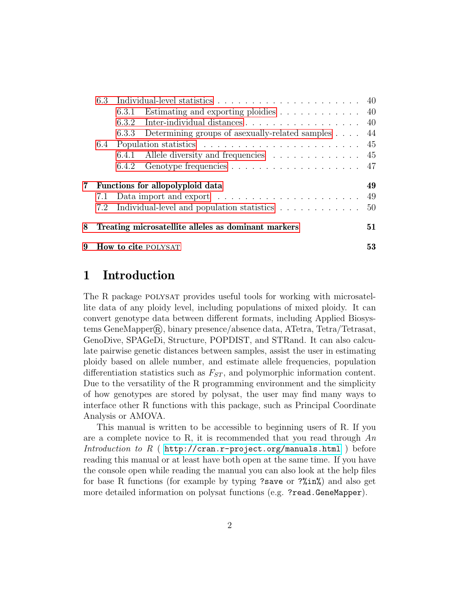|   | 6.3 |                                                                                 |    |
|---|-----|---------------------------------------------------------------------------------|----|
|   |     | 6.3.1 Estimating and exporting ploidies 40                                      |    |
|   |     | 6.3.2 Inter-individual distances 40                                             |    |
|   |     | Determining groups of asexually-related samples 44<br>6.3.3                     |    |
|   | 6.4 | Population statistics $\ldots \ldots \ldots \ldots \ldots \ldots \ldots \ldots$ |    |
|   |     | 6.4.1 Allele diversity and frequencies $\ldots \ldots \ldots \ldots$ 45         |    |
|   |     |                                                                                 |    |
| 7 |     | Functions for allopolyploid data                                                | 49 |
|   | 7.1 |                                                                                 | 49 |
|   | 7.2 | Individual-level and population statistics                                      | 50 |
| 8 |     | Treating microsatellite alleles as dominant markers                             | 51 |
| 9 |     | How to cite POLYSAT                                                             | 53 |

## <span id="page-1-0"></span>1 Introduction

The R package polysat provides useful tools for working with microsatellite data of any ploidy level, including populations of mixed ploidy. It can convert genotype data between different formats, including Applied Biosystems GeneMapper $\mathbb{R}$ , binary presence/absence data, ATetra, Tetra/Tetrasat, GenoDive, SPAGeDi, Structure, POPDIST, and STRand. It can also calculate pairwise genetic distances between samples, assist the user in estimating ploidy based on allele number, and estimate allele frequencies, population differentiation statistics such as  $F_{ST}$ , and polymorphic information content. Due to the versatility of the R programming environment and the simplicity of how genotypes are stored by polysat, the user may find many ways to interface other R functions with this package, such as Principal Coordinate Analysis or AMOVA.

This manual is written to be accessible to beginning users of R. If you are a complete novice to R, it is recommended that you read through  $An$ Introduction to R ( <http://cran.r-project.org/manuals.html> ) before reading this manual or at least have both open at the same time. If you have the console open while reading the manual you can also look at the help files for base R functions (for example by typing ?save or ?%in%) and also get more detailed information on polysat functions (e.g. ?read.GeneMapper).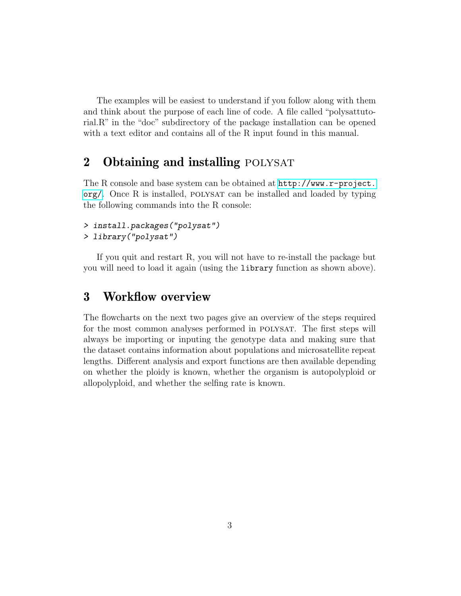The examples will be easiest to understand if you follow along with them and think about the purpose of each line of code. A file called "polysattutorial.R" in the "doc" subdirectory of the package installation can be opened with a text editor and contains all of the R input found in this manual.

## <span id="page-2-0"></span>2 Obtaining and installing POLYSAT

The R console and base system can be obtained at [http://www.r-project.](http://www.r-project.org/) [org/](http://www.r-project.org/). Once R is installed, polysat can be installed and loaded by typing the following commands into the R console:

> install.packages("polysat")

> library("polysat")

If you quit and restart R, you will not have to re-install the package but you will need to load it again (using the library function as shown above).

## <span id="page-2-1"></span>3 Workflow overview

The flowcharts on the next two pages give an overview of the steps required for the most common analyses performed in POLYSAT. The first steps will always be importing or inputing the genotype data and making sure that the dataset contains information about populations and microsatellite repeat lengths. Different analysis and export functions are then available depending on whether the ploidy is known, whether the organism is autopolyploid or allopolyploid, and whether the selfing rate is known.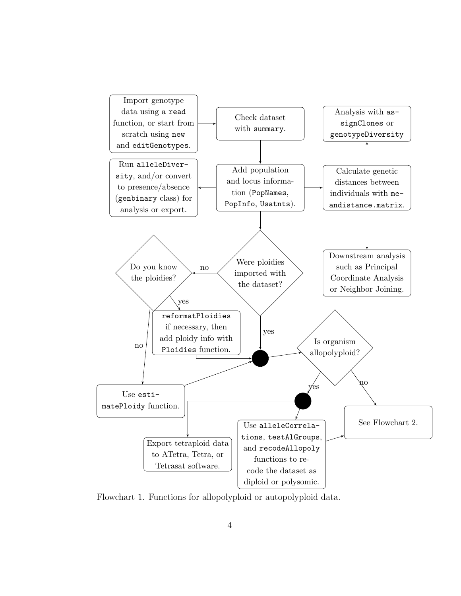

Flowchart 1. Functions for allopolyploid or autopolyploid data.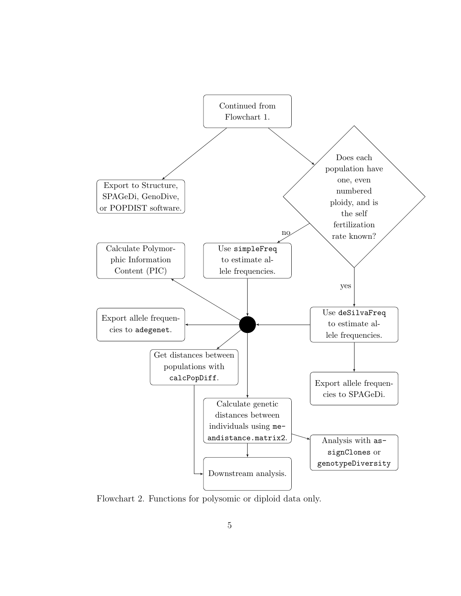

Flowchart 2. Functions for polysomic or diploid data only.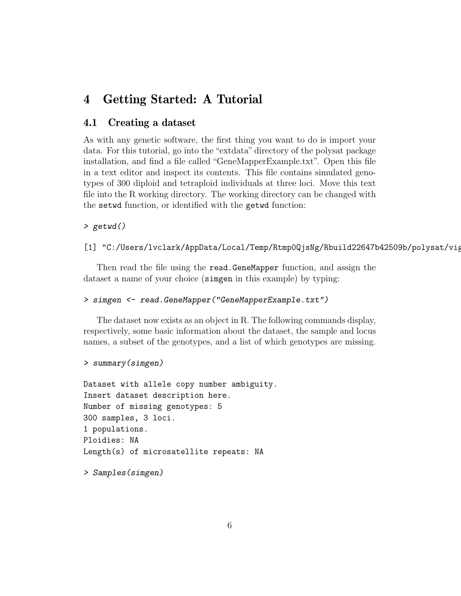## <span id="page-5-0"></span>4 Getting Started: A Tutorial

### <span id="page-5-1"></span>4.1 Creating a dataset

As with any genetic software, the first thing you want to do is import your data. For this tutorial, go into the "extdata" directory of the polysat package installation, and find a file called "GeneMapperExample.txt". Open this file in a text editor and inspect its contents. This file contains simulated genotypes of 300 diploid and tetraploid individuals at three loci. Move this text file into the R working directory. The working directory can be changed with the setwd function, or identified with the getwd function:

### > getwd()

#### [1] "C:/Users/lvclark/AppData/Local/Temp/Rtmp0QjsNg/Rbuild22647b42509b/polysat/vig

Then read the file using the read.GeneMapper function, and assign the dataset a name of your choice (simgen in this example) by typing:

#### > simgen <- read.GeneMapper("GeneMapperExample.txt")

The dataset now exists as an object in R. The following commands display, respectively, some basic information about the dataset, the sample and locus names, a subset of the genotypes, and a list of which genotypes are missing.

```
> summary(simgen)
```

```
Dataset with allele copy number ambiguity.
Insert dataset description here.
Number of missing genotypes: 5
300 samples, 3 loci.
1 populations.
Ploidies: NA
Length(s) of microsatellite repeats: NA
```

```
> Samples(simgen)
```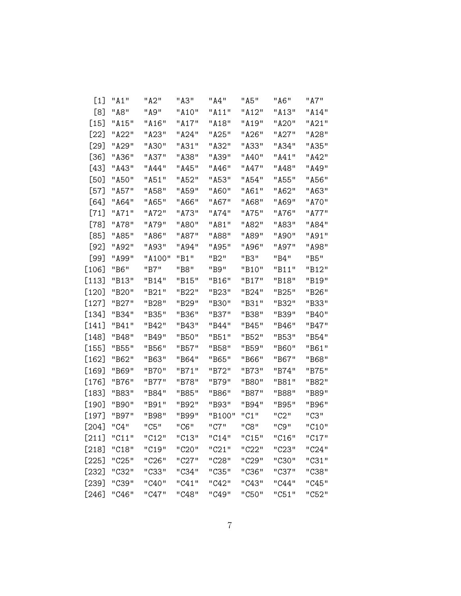| $\lceil 1 \rceil$ | "A1"               | "A2"               | "A3"  | "A4"   | "A5"  | "A6"  | "A7"         |
|-------------------|--------------------|--------------------|-------|--------|-------|-------|--------------|
| [8]               | "A8"               | "A9"               | "A10" | "A11"  | "A12" | "A13" | "A14"        |
| [15]              | "A <sub>15</sub> " | "A <sub>16</sub> " | "A17" | "A18"  | "A19" | "A20" | "A21"        |
| [22]              | "A22"              | "A23"              | "A24" | "A25"  | "A26" | "A27" | "A28"        |
| [29]              | "A29"              | "A30"              | "A31" | "A32"  | "A33" | "A34" | "A35"        |
| [36]              | "A36"              | "A37"              | "A38" | "A39"  | "A40" | "A41" | "A42"        |
| [43]              | "A43"              | " 444 "            | "A45" | "A46"  | "A47" | "A48" | <b>"A49"</b> |
| [50]              | "A50"              | "A51"              | "A52" | "A53"  | "A54" | "A55" | "A56"        |
| [57]              | "A57"              | "A58"              | "A59" | "A60"  | "A61" | "A62" | "A63"        |
| [64]              | "A64"              | "A65"              | "A66" | "A67"  | "A68" | "A69" | "A70"        |
| [71]              | "A71"              | "A72"              | "A73" | "A74"  | "A75" | "A76" | "A77"        |
| [78]              | "A78"              | "A79"              | "A80" | "A81"  | "A82" | "A83" | "A84"        |
| [85]              | "A85"              | "A86"              | "A87" | "A88"  | "A89" | "A90" | "A91"        |
| [92]              | "A92"              | "A93"              | "A94" | "A95"  | "A96" | "A97" | "A98"        |
| [99]              | "A99"              | "A100"             | "B1"  | "B2"   | "B3"  | "B4"  | "B5"         |
| [106]             | "B6"               | "B7"               | "B8"  | "B9"   | "B10" | "B11" | "B12"        |
| [113]             | "B13"              | "B14"              | "B15" | "B16"  | "B17" | "B18" | "B19"        |
| [120]             | "B20"              | "B21"              | "B22" | "B23"  | "B24" | "B25" | "B26"        |
| [127]             | "B27"              | "B28"              | "B29" | "B30"  | "B31" | "B32" | "B33"        |
| [134]             | "B34"              | "B35"              | "B36" | "B37"  | "B38" | "B39" | "B40"        |
| [141]             | "B41"              | "B42"              | "B43" | "B44"  | "B45" | "B46" | "B47"        |
| [148]             | "B48"              | "B49"              | "B50" | "B51"  | "B52" | "B53" | "B54"        |
| [155]             | "B55"              | "B56"              | "B57" | "B58"  | "B59" | "B60" | "B61"        |
| [162]             | "B62"              | "B63"              | "B64" | "B65"  | "B66" | "B67" | "B68"        |
| [169]             | "B69"              | "B70"              | "B71" | "B72"  | "B73" | "B74" | "R75"        |
| [176]             | "B76"              | "B77"              | "B78" | "B79"  | "B80" | "B81" | "B82"        |
| [183]             | "B83"              | "B84"              | "B85" | "B86"  | "B87" | "B88" | "B89"        |
| [190]             | "B90"              | "B91"              | "B92" | "B93"  | "B94" | "B95" | "B96"        |
| [197]             | "B97"              | "B98"              | "B99" | "B100" | "C1"  | "C2"  | "C3"         |
| [204]             | "C4"               | "C5"               | "C6"  | "C7"   | "C8"  | "C9"  | "C10"        |
| $[211]$           | "C11"              | "C12"              | "C13" | "C14"  | "C15" | "C16" | "C17"        |
| $[218]$           | "C18"              | "C19"              | "C20" | "C21"  | "C22" | "C23" | "C24"        |
| $[225]$           | "C25"              | "C26"              | "C27" | "C28"  | "C29" | "C30" | "C31"        |
| $[232]$           | "C32"              | "C33"              | "C34" | "C35"  | "C36" | "C37" | "C38"        |
| [239]             | "C39"              | "C40"              | "C41" | "C42"  | "C43" | "C44" | "C45"        |
| $[246]$           | "C46"              | "C47"              | "C48" | "C49"  | "C50" | "C51" | "C52"        |
|                   |                    |                    |       |        |       |       |              |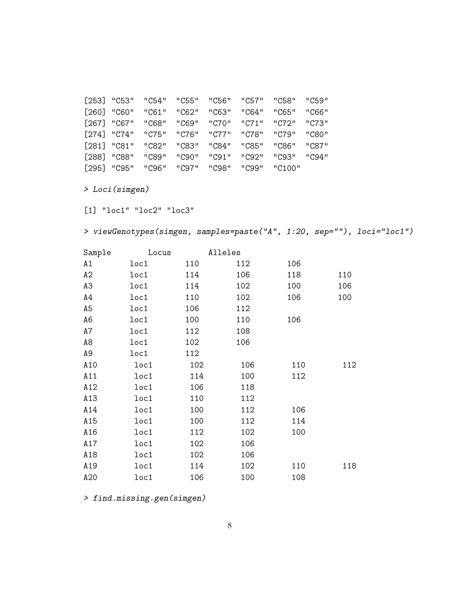| Sample         | Locus                        | Alleles |     |     |     |
|----------------|------------------------------|---------|-----|-----|-----|
| A1             | loc1                         | 110     | 112 | 106 |     |
| A2             | loc1                         | 114     | 106 | 118 | 110 |
| A3             | loc1                         | 114     | 102 | 100 | 106 |
| A4             | loc1                         | 110     | 102 | 106 | 100 |
| A <sub>5</sub> | loc1                         | 106     | 112 |     |     |
| A <sub>6</sub> | loc1                         | 100     | 110 | 106 |     |
| A7             | loc1                         | 112     | 108 |     |     |
| A8             | loc1                         | 102     | 106 |     |     |
| A <sub>9</sub> | loc1                         | 112     |     |     |     |
| A10            | 1 <sub>o</sub> <sub>c1</sub> | 102     | 106 | 110 | 112 |
| A11            | loc1                         | 114     | 100 | 112 |     |
| A12            | loc1                         | 106     | 118 |     |     |
| A13            | loc1                         | 110     | 112 |     |     |
| A14            | loc1                         | 100     | 112 | 106 |     |
| A15            | loc1                         | 100     | 112 | 114 |     |
| A16            | loc1                         | 112     | 102 | 100 |     |
| A17            | loc1                         | 102     | 106 |     |     |
| A18            | loc1                         | 102     | 106 |     |     |
| A19            | loc1                         | 114     | 102 | 110 | 118 |
| A20            | loc1                         | 106     | 100 | 108 |     |

> viewGenotypes(simgen, samples=paste("A", 1:20, sep=""), loci="loc1")

[1] "loc1" "loc2" "loc3"

> find.missing.gen(simgen)

> Loci(simgen)

| $[253]$ "C53" |       | "C54" | "C55" | "C56" | "C57" | "C58"  | "C59" |
|---------------|-------|-------|-------|-------|-------|--------|-------|
| [260]         | "C60" | "C61" | "C62" | "C63" | "C64" | "C65"  | "C66" |
| [267] "C67"   |       | "C68" | "C69" | "C70" | "C71" | "C72"  | "C73" |
| $[274]$ "C74" |       | "C75" | "C76" | "C77" | "C78" | "C79"  | "C80" |
| [281]         | "C81" | "C82" | "C83" | "C84" | "C85" | "C86"  | "C87" |
| [288]         | "C88" | "C89" | "C90" | "C91" | "C92" | "C93"  | "C94" |
| [295]         | "C95" | "C96" | "C97" | "C98" | "C99" | "C100" |       |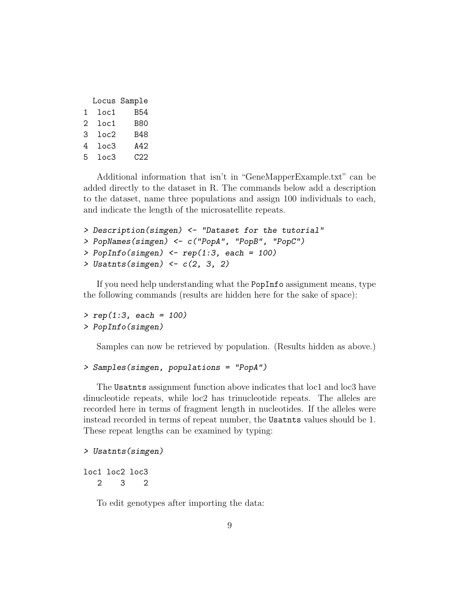|   |                  | Locus Sample |
|---|------------------|--------------|
| 1 | loc1             | B54          |
| 2 | $_{\tt loc1}$    | <b>B80</b>   |
| З | $_{\text{loc}2}$ | <b>B48</b>   |
| 4 | loc3             | A42          |
| 5 | 1 <sub>oc3</sub> | C22          |

Additional information that isn't in "GeneMapperExample.txt" can be added directly to the dataset in R. The commands below add a description to the dataset, name three populations and assign 100 individuals to each, and indicate the length of the microsatellite repeats.

```
> Description(simgen) <- "Dataset for the tutorial"
> PopNames(simgen) <- c("PopA", "PopB", "PopC")
> PopInfo(simgen) \leq rep(1:3, each = 100)
> Usatnts(simgen) \leftarrow c(2, 3, 2)
```
If you need help understanding what the PopInfo assignment means, type the following commands (results are hidden here for the sake of space):

 $> rep(1:3, each = 100)$ > PopInfo(simgen)

Samples can now be retrieved by population. (Results hidden as above.)

```
> Samples(simgen, populations = "PopA")
```
The Usatnts assignment function above indicates that loc1 and loc3 have dinucleotide repeats, while loc2 has trinucleotide repeats. The alleles are recorded here in terms of fragment length in nucleotides. If the alleles were instead recorded in terms of repeat number, the Usatnts values should be 1. These repeat lengths can be examined by typing:

```
> Usatnts(simgen)
```
loc1 loc2 loc3 2 3 2

To edit genotypes after importing the data: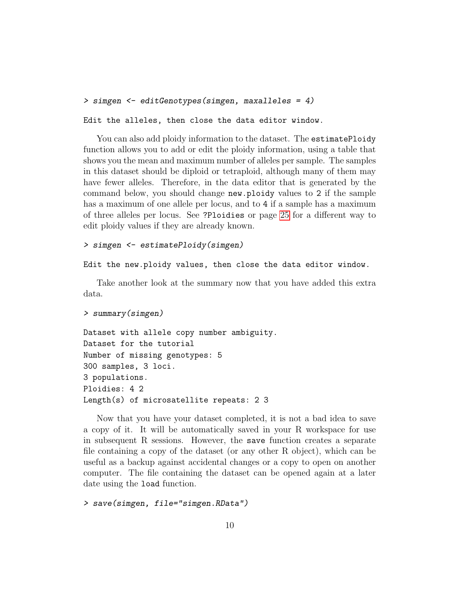```
> simgen <- editGenotypes(simgen, maxalleles = 4)
```
Edit the alleles, then close the data editor window.

You can also add ploidy information to the dataset. The estimatePloidy function allows you to add or edit the ploidy information, using a table that shows you the mean and maximum number of alleles per sample. The samples in this dataset should be diploid or tetraploid, although many of them may have fewer alleles. Therefore, in the data editor that is generated by the command below, you should change new.ploidy values to 2 if the sample has a maximum of one allele per locus, and to 4 if a sample has a maximum of three alleles per locus. See ?Ploidies or page [25](#page-20-2) for a different way to edit ploidy values if they are already known.

#### > simgen <- estimatePloidy(simgen)

```
Edit the new.ploidy values, then close the data editor window.
```
Take another look at the summary now that you have added this extra data.

```
> summary(simgen)
```

```
Dataset with allele copy number ambiguity.
Dataset for the tutorial
Number of missing genotypes: 5
300 samples, 3 loci.
3 populations.
Ploidies: 4 2
Length(s) of microsatellite repeats: 2 3
```
Now that you have your dataset completed, it is not a bad idea to save a copy of it. It will be automatically saved in your R workspace for use in subsequent R sessions. However, the save function creates a separate file containing a copy of the dataset (or any other R object), which can be useful as a backup against accidental changes or a copy to open on another computer. The file containing the dataset can be opened again at a later date using the load function.

> save(simgen, file="simgen.RData")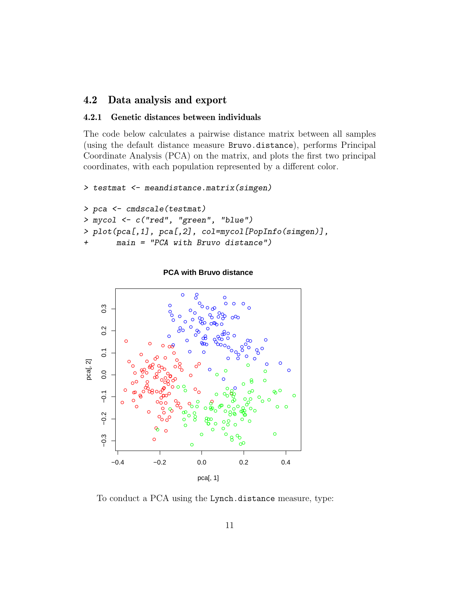### <span id="page-10-0"></span>4.2 Data analysis and export

### <span id="page-10-1"></span>4.2.1 Genetic distances between individuals

The code below calculates a pairwise distance matrix between all samples (using the default distance measure Bruvo.distance), performs Principal Coordinate Analysis (PCA) on the matrix, and plots the first two principal coordinates, with each population represented by a different color.

```
> testmat <- meandistance.matrix(simgen)
```

```
> pca <- cmdscale(testmat)
> mycol <- c("red", "green", "blue")
> plot(pca[,1], pca[,2], col=mycol[PopInfo(simgen)],
+ main = "PCA with Bruvo distance")
```


**PCA with Bruvo distance**

To conduct a PCA using the Lynch.distance measure, type: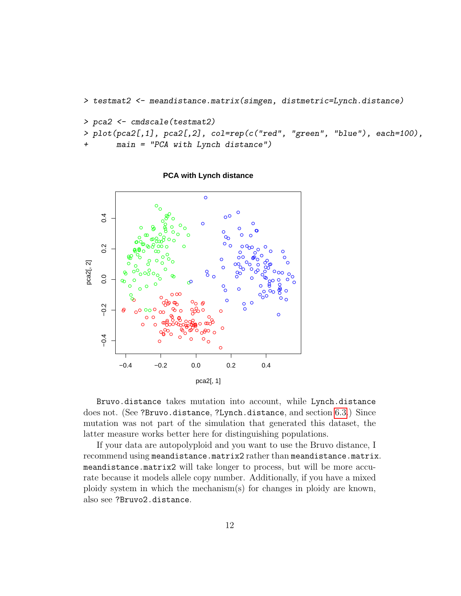```
> testmat2 <- meandistance.matrix(simgen, distmetric=Lynch.distance)
```

```
> pca2 <- cmdscale(testmat2)
```

```
> plot(pca2[,1], pca2[,2], col=rep(c("red", "green", "blue"), each=100),
```
 $main$  = "PCA with Lynch distance")



#### **PCA with Lynch distance**

Bruvo.distance takes mutation into account, while Lynch.distance does not. (See ?Bruvo.distance, ?Lynch.distance, and section [6.3.](#page-39-0)) Since mutation was not part of the simulation that generated this dataset, the latter measure works better here for distinguishing populations.

If your data are autopolyploid and you want to use the Bruvo distance, I recommend using meandistance.matrix2 rather than meandistance.matrix. meandistance.matrix2 will take longer to process, but will be more accurate because it models allele copy number. Additionally, if you have a mixed ploidy system in which the mechanism(s) for changes in ploidy are known, also see ?Bruvo2.distance.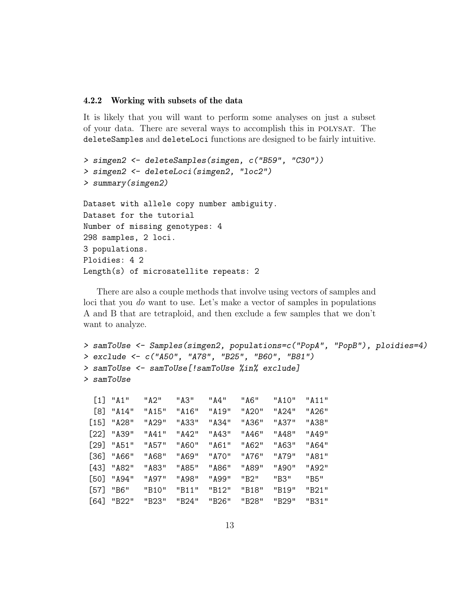#### <span id="page-12-0"></span>4.2.2 Working with subsets of the data

It is likely that you will want to perform some analyses on just a subset of your data. There are several ways to accomplish this in polysat. The deleteSamples and deleteLoci functions are designed to be fairly intuitive.

```
> simgen2 <- deleteSamples(simgen, c("B59", "C30"))
> simgen2 <- deleteLoci(simgen2, "loc2")
> summary(simgen2)
Dataset with allele copy number ambiguity.
Dataset for the tutorial
Number of missing genotypes: 4
298 samples, 2 loci.
3 populations.
Ploidies: 4 2
Length(s) of microsatellite repeats: 2
```
There are also a couple methods that involve using vectors of samples and loci that you do want to use. Let's make a vector of samples in populations A and B that are tetraploid, and then exclude a few samples that we don't want to analyze.

```
> samToUse <- Samples(simgen2, populations=c("PopA", "PopB"), ploidies=4)
> exclude <- c("A50", "A78", "B25", "B60", "B81")
> samToUse <- samToUse[!samToUse %in% exclude]
> samToUse
```

|        | $\begin{bmatrix} 1 \end{bmatrix}$ "A1" | "A2"  | "A3"  | "A4"     | "A6"  | "A10" | "A11" |
|--------|----------------------------------------|-------|-------|----------|-------|-------|-------|
| [8]    | "A14"                                  | "A15" | "A16" | "A19"    | "A20" | "A24" | "A26" |
| [15]   | "A28"                                  | "A29" | "A33" | "A34"    | "A36" | "A37" | "A38" |
| [22]   | "A39"                                  | "A41" | "A42" | "A43"    | "A46" | "A48" | "A49" |
| [29]   | "A51"                                  | "A57" | "A60" | "A61"    | "A62" | "A63" | "A64" |
| [36]   | "A66"                                  | "A68" | "A69" | " A 70 " | "A76" | "A79" | "A81" |
| [43]   | "A82"                                  | "A83" | "A85" | "A86"    | "A89" | "A90" | "A92" |
| [50]   | "A94"                                  | "A97" | "A98" | " A99"   | "B2"  | "B3"  | "B5"  |
| $[57]$ | "B6"                                   | "B10" | "B11" | "B12"    | "B18" | "B19" | "B21" |
| [64]   | "B22"                                  | "B23" | "B24" | "B26"    | "B28" | "B29" | "B31" |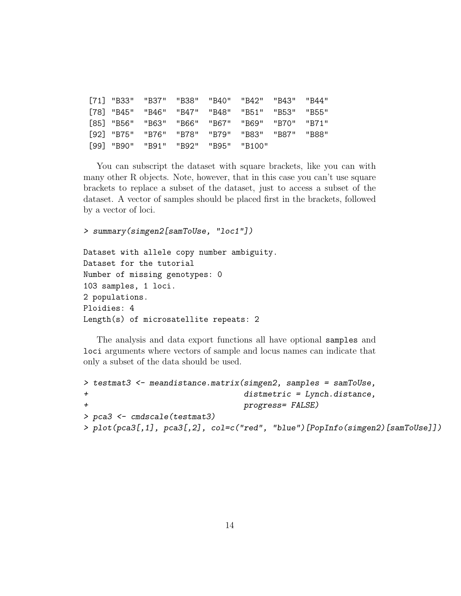|  |                                     |  | [71] "B33" "B37" "B38" "B40" "B42" "B43" "B44"  |  |
|--|-------------------------------------|--|-------------------------------------------------|--|
|  |                                     |  | [78] "B45" "B46" "B47" "B48" "B51" "B53" "B55"  |  |
|  |                                     |  | [85] "B56" "B63" "B66" "B67" "B69" "B70" "B71"  |  |
|  |                                     |  | "B82" "B75" "B76" "B78" "B79" "B83" "B87" "B88" |  |
|  | [99] "B90" "B91" "B92" "B95" "B100" |  |                                                 |  |

You can subscript the dataset with square brackets, like you can with many other R objects. Note, however, that in this case you can't use square brackets to replace a subset of the dataset, just to access a subset of the dataset. A vector of samples should be placed first in the brackets, followed by a vector of loci.

```
> summary(simgen2[samToUse, "loc1"])
```

```
Dataset with allele copy number ambiguity.
Dataset for the tutorial
Number of missing genotypes: 0
103 samples, 1 loci.
2 populations.
Ploidies: 4
Length(s) of microsatellite repeats: 2
```
The analysis and data export functions all have optional samples and loci arguments where vectors of sample and locus names can indicate that only a subset of the data should be used.

```
> testmat3 <- meandistance.matrix(simgen2, samples = samToUse,
+ distmetric = Lynch.distance,
+ progress= FALSE)
> pca3 <- cmdscale(testmat3)
> plot(pca3[,1], pca3[,2], col=c("red", "blue")[PopInfo(simgen2)[samToUse]])
```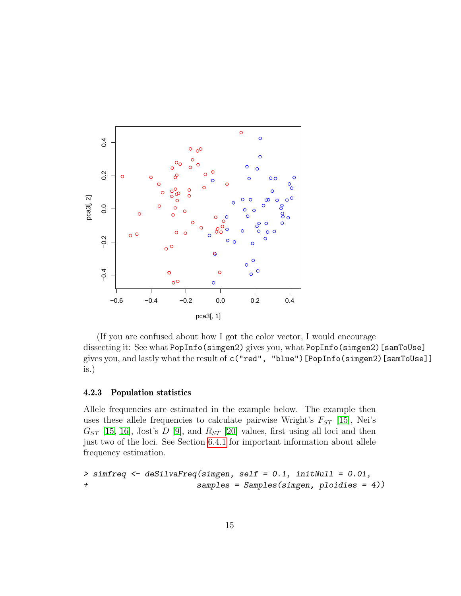

(If you are confused about how I got the color vector, I would encourage dissecting it: See what PopInfo(simgen2) gives you, what PopInfo(simgen2)[samToUse] gives you, and lastly what the result of c("red", "blue")[PopInfo(simgen2)[samToUse]] is.)

#### <span id="page-14-0"></span>4.2.3 Population statistics

Allele frequencies are estimated in the example below. The example then uses these allele frequencies to calculate pairwise Wright's  $F_{ST}$  [\[15\]](#page-53-0), Nei's  $G_{ST}$  [\[15,](#page-53-0) [16\]](#page-53-1), Jost's D [\[9\]](#page-53-2), and  $R_{ST}$  [\[20\]](#page-54-0) values, first using all loci and then just two of the loci. See Section [6.4.1](#page-44-1) for important information about allele frequency estimation.

```
> simfreq <- deSilvaFreq(simgen, self = 0.1, initNull = 0.01,
+ samples = Samples(simgen, ploidies = 4))
```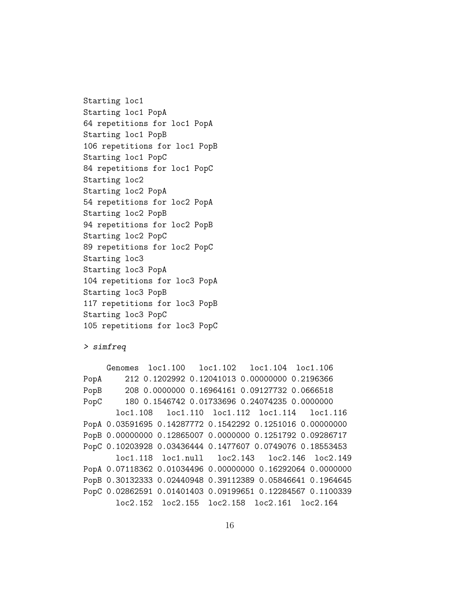Starting loc1 Starting loc1 PopA 64 repetitions for loc1 PopA Starting loc1 PopB 106 repetitions for loc1 PopB Starting loc1 PopC 84 repetitions for loc1 PopC Starting loc2 Starting loc2 PopA 54 repetitions for loc2 PopA Starting loc2 PopB 94 repetitions for loc2 PopB Starting loc2 PopC 89 repetitions for loc2 PopC Starting loc3 Starting loc3 PopA 104 repetitions for loc3 PopA Starting loc3 PopB 117 repetitions for loc3 PopB Starting loc3 PopC 105 repetitions for loc3 PopC

```
> simfreq
```
Genomes loc1.100 loc1.102 loc1.104 loc1.106 PopA 212 0.1202992 0.12041013 0.00000000 0.2196366 PopB 208 0.0000000 0.16964161 0.09127732 0.0666518 PopC 180 0.1546742 0.01733696 0.24074235 0.0000000 loc1.108 loc1.110 loc1.112 loc1.114 loc1.116 PopA 0.03591695 0.14287772 0.1542292 0.1251016 0.00000000 PopB 0.00000000 0.12865007 0.0000000 0.1251792 0.09286717 PopC 0.10203928 0.03436444 0.1477607 0.0749076 0.18553453 loc1.118 loc1.null loc2.143 loc2.146 loc2.149 PopA 0.07118362 0.01034496 0.00000000 0.16292064 0.0000000 PopB 0.30132333 0.02440948 0.39112389 0.05846641 0.1964645 PopC 0.02862591 0.01401403 0.09199651 0.12284567 0.1100339 loc2.152 loc2.155 loc2.158 loc2.161 loc2.164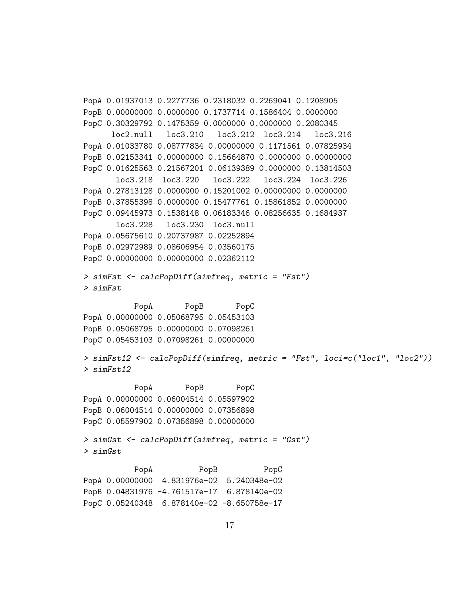```
PopA 0.01937013 0.2277736 0.2318032 0.2269041 0.1208905
PopB 0.00000000 0.0000000 0.1737714 0.1586404 0.0000000
PopC 0.30329792 0.1475359 0.0000000 0.0000000 0.2080345
     loc2.null loc3.210 loc3.212 loc3.214 loc3.216
PopA 0.01033780 0.08777834 0.00000000 0.1171561 0.07825934
PopB 0.02153341 0.00000000 0.15664870 0.0000000 0.00000000
PopC 0.01625563 0.21567201 0.06139389 0.0000000 0.13814503
      loc3.218 loc3.220 loc3.222 loc3.224 loc3.226
PopA 0.27813128 0.0000000 0.15201002 0.00000000 0.0000000
PopB 0.37855398 0.0000000 0.15477761 0.15861852 0.0000000
PopC 0.09445973 0.1538148 0.06183346 0.08256635 0.1684937
      loc3.228 loc3.230 loc3.null
PopA 0.05675610 0.20737987 0.02252894
PopB 0.02972989 0.08606954 0.03560175
PopC 0.00000000 0.00000000 0.02362112
> simFst <- calcPopDiff(simfreq, metric = "Fst")
> simFst
          PopA PopB PopC
PopA 0.00000000 0.05068795 0.05453103
PopB 0.05068795 0.00000000 0.07098261
PopC 0.05453103 0.07098261 0.00000000
> simFst12 <- calcPopDiff(simfreq, metric = "Fst", loci=c("loc1", "loc2"))
> simFst12
          PopA PopB PopC
PopA 0.00000000 0.06004514 0.05597902
PopB 0.06004514 0.00000000 0.07356898
PopC 0.05597902 0.07356898 0.00000000
> simGst <- calcPopDiff(simfreq, metric = "Gst")
> simGst
          PopA PopB PopC
PopA 0.00000000 4.831976e-02 5.240348e-02
PopB 0.04831976 -4.761517e-17 6.878140e-02
PopC 0.05240348 6.878140e-02 -8.650758e-17
```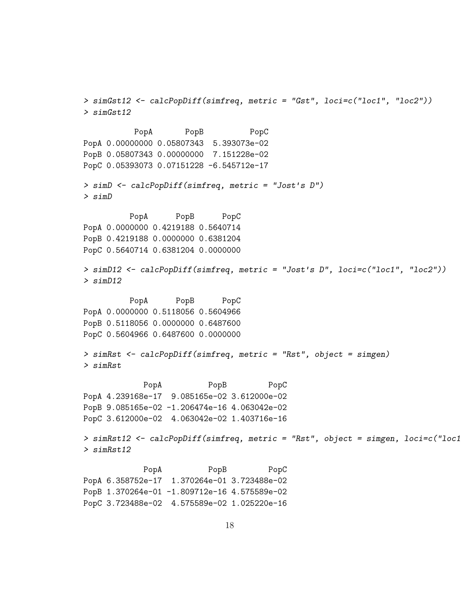> simGst12 <- calcPopDiff(simfreq, metric = "Gst", loci=c("loc1", "loc2")) > simGst12 PopA PopB PopC PopA 0.00000000 0.05807343 5.393073e-02 PopB 0.05807343 0.00000000 7.151228e-02 PopC 0.05393073 0.07151228 -6.545712e-17 > simD <- calcPopDiff(simfreq, metric = "Jost's D") > simD PopA PopB PopC PopA 0.0000000 0.4219188 0.5640714 PopB 0.4219188 0.0000000 0.6381204 PopC 0.5640714 0.6381204 0.0000000 > simD12 <- calcPopDiff(simfreq, metric = "Jost's D", loci=c("loc1", "loc2")) > simD12 PopA PopB PopC PopA 0.0000000 0.5118056 0.5604966 PopB 0.5118056 0.0000000 0.6487600 PopC 0.5604966 0.6487600 0.0000000 > simRst <- calcPopDiff(simfreq, metric = "Rst", object = simgen) > simRst PopA PopB PopC PopA 4.239168e-17 9.085165e-02 3.612000e-02 PopB 9.085165e-02 -1.206474e-16 4.063042e-02 PopC 3.612000e-02 4.063042e-02 1.403716e-16 > simRst12 <- calcPopDiff(simfreq, metric = "Rst", object = simgen, loci=c("loc1 > simRst12 PopA PopB PopC PopA 6.358752e-17 1.370264e-01 3.723488e-02 PopB 1.370264e-01 -1.809712e-16 4.575589e-02 PopC 3.723488e-02 4.575589e-02 1.025220e-16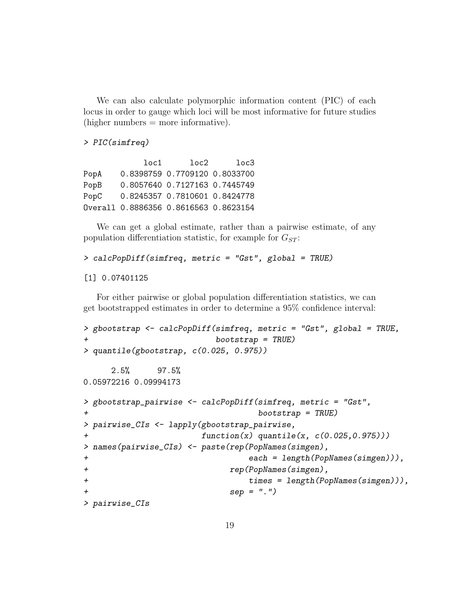We can also calculate polymorphic information content (PIC) of each locus in order to gauge which loci will be most informative for future studies  $(higher numbers = more informative).$ 

```
> PIC(simfreq)
```

|      | loc1 | loc2                                  | loc3 |
|------|------|---------------------------------------|------|
| PopA |      | 0.8398759 0.7709120 0.8033700         |      |
| PopB |      | 0.8057640 0.7127163 0.7445749         |      |
| PopC |      | 0.8245357 0.7810601 0.8424778         |      |
|      |      | Overall 0.8886356 0.8616563 0.8623154 |      |

We can get a global estimate, rather than a pairwise estimate, of any population differentiation statistic, for example for  $G_{ST}$ :

```
> calcPopDiff(simfreq, metric = "Gst", global = TRUE)
```
[1] 0.07401125

For either pairwise or global population differentiation statistics, we can get bootstrapped estimates in order to determine a 95% confidence interval:

```
> gbootstrap <- calcPopDiff(simfreq, metric = "Gst", global = TRUE,
+ bootstrap = TRUE)
> quantile(gbootstrap, c(0.025, 0.975))
    2.5% 97.5%
0.05972216 0.09994173
> gbootstrap_pairwise <- calcPopDiff(simfreq, metric = "Gst",
+ bootstrap = TRUE)
> pairwise_CIs <- lapply(gbootstrap_pairwise,
+ function(x) quantile(x, c(0.025,0.975)))
> names(pairwise_CIs) <- paste(rep(PopNames(simgen),
+ each = length(PopNames(simgen))),
+ rep(PopNames(simgen),
+ times = length(PopNames(simgen))),
+ sep = ".")
> pairwise_CIs
```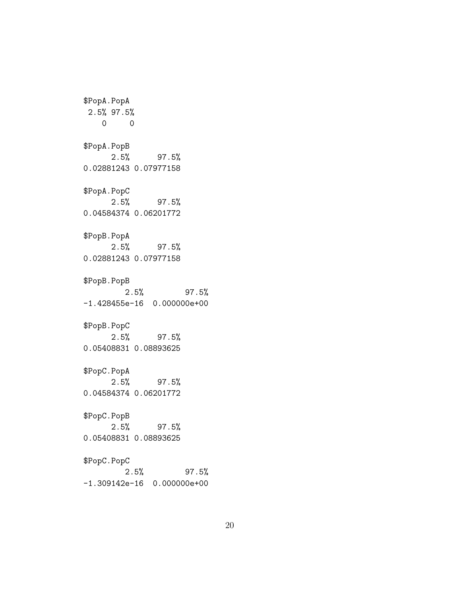\$PopA.PopA 2.5% 97.5% 0 0 \$PopA.PopB 2.5% 97.5% 0.02881243 0.07977158 \$PopA.PopC 2.5% 97.5% 0.04584374 0.06201772 \$PopB.PopA 2.5% 97.5% 0.02881243 0.07977158 \$PopB.PopB 2.5% 97.5% -1.428455e-16 0.000000e+00 \$PopB.PopC 2.5% 97.5% 0.05408831 0.08893625 \$PopC.PopA 2.5% 97.5% 0.04584374 0.06201772 \$PopC.PopB 2.5% 97.5% 0.05408831 0.08893625 \$PopC.PopC 2.5% 97.5% -1.309142e-16 0.000000e+00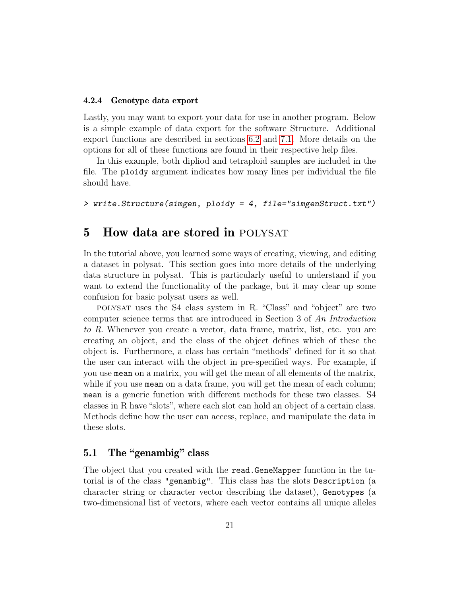#### <span id="page-20-0"></span>4.2.4 Genotype data export

Lastly, you may want to export your data for use in another program. Below is a simple example of data export for the software Structure. Additional export functions are described in sections [6.2](#page-36-0) and [7.1.](#page-48-1) More details on the options for all of these functions are found in their respective help files.

In this example, both dipliod and tetraploid samples are included in the file. The ploidy argument indicates how many lines per individual the file should have.

> write.Structure(simgen, ploidy = 4, file="simgenStruct.txt")

## <span id="page-20-1"></span>5 How data are stored in POLYSAT

In the tutorial above, you learned some ways of creating, viewing, and editing a dataset in polysat. This section goes into more details of the underlying data structure in polysat. This is particularly useful to understand if you want to extend the functionality of the package, but it may clear up some confusion for basic polysat users as well.

polysat uses the S4 class system in R. "Class" and "object" are two computer science terms that are introduced in Section 3 of An Introduction to R. Whenever you create a vector, data frame, matrix, list, etc. you are creating an object, and the class of the object defines which of these the object is. Furthermore, a class has certain "methods" defined for it so that the user can interact with the object in pre-specified ways. For example, if you use mean on a matrix, you will get the mean of all elements of the matrix, while if you use mean on a data frame, you will get the mean of each column; mean is a generic function with different methods for these two classes. S4 classes in R have "slots", where each slot can hold an object of a certain class. Methods define how the user can access, replace, and manipulate the data in these slots.

## <span id="page-20-2"></span>5.1 The "genambig" class

The object that you created with the read.GeneMapper function in the tutorial is of the class "genambig". This class has the slots Description (a character string or character vector describing the dataset), Genotypes (a two-dimensional list of vectors, where each vector contains all unique alleles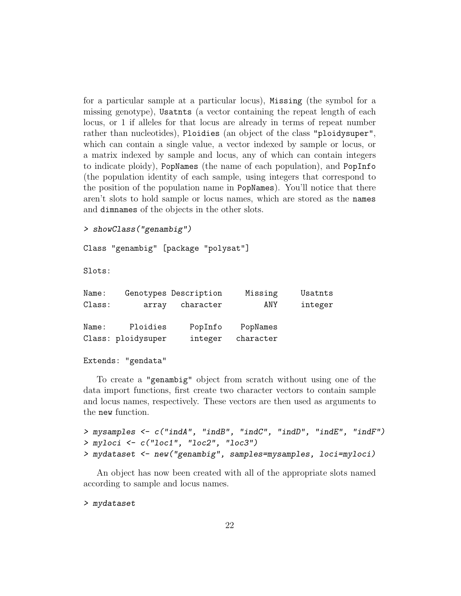for a particular sample at a particular locus), Missing (the symbol for a missing genotype), Usatnts (a vector containing the repeat length of each locus, or 1 if alleles for that locus are already in terms of repeat number rather than nucleotides), Ploidies (an object of the class "ploidysuper", which can contain a single value, a vector indexed by sample or locus, or a matrix indexed by sample and locus, any of which can contain integers to indicate ploidy), PopNames (the name of each population), and PopInfo (the population identity of each sample, using integers that correspond to the position of the population name in PopNames). You'll notice that there aren't slots to hold sample or locus names, which are stored as the names and dimnames of the objects in the other slots.

```
> showClass("genambig")
```
Class "genambig" [package "polysat"]

Slots:

| Usatnts |
|---------|
| integer |
|         |
|         |
|         |
|         |

```
Extends: "gendata"
```
To create a "genambig" object from scratch without using one of the data import functions, first create two character vectors to contain sample and locus names, respectively. These vectors are then used as arguments to the new function.

```
> mysamples <- c("indA", "indB", "indC", "indD", "indE", "indF")
> myloci <- c("loc1", "loc2", "loc3")
> mydataset <- new("genambig", samples=mysamples, loci=myloci)
```
An object has now been created with all of the appropriate slots named according to sample and locus names.

> mydataset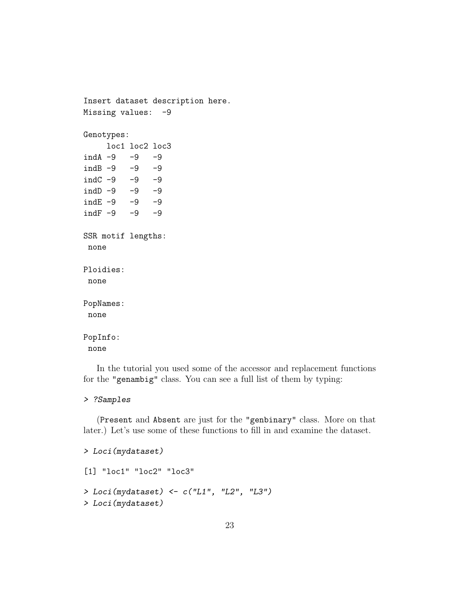```
Insert dataset description here.
Missing values: -9
Genotypes:
    loc1 loc2 loc3
indA -9 -9 -9indB -9 -9 -9
indC -9 -9 -9
indD -9 -9 -9ind E -9 -9 -9indF -9 -9 -9
SSR motif lengths:
none
Ploidies:
none
PopNames:
none
PopInfo:
none
```
In the tutorial you used some of the accessor and replacement functions for the "genambig" class. You can see a full list of them by typing:

#### > ?Samples

(Present and Absent are just for the "genbinary" class. More on that later.) Let's use some of these functions to fill in and examine the dataset.

```
> Loci(mydataset)
[1] "loc1" "loc2" "loc3"
> Loci(mydataset) <- c("L1", "L2", "L3")
> Loci(mydataset)
```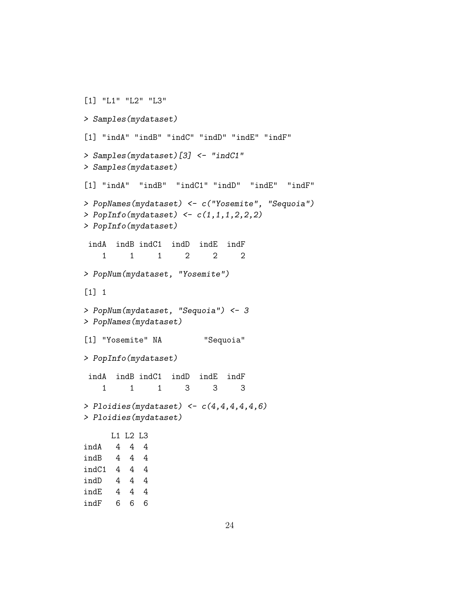```
[1] "L1" "L2" "L3"
> Samples(mydataset)
[1] "indA" "indB" "indC" "indD" "indE" "indF"
> Samples(mydataset)[3] <- "indC1"
> Samples(mydataset)
[1] "indA" "indB" "indC1" "indD" "indE" "indF"
> PopNames(mydataset) <- c("Yosemite", "Sequoia")
> PopInfo(mydataset) <- c(1,1,1,2,2,2)
> PopInfo(mydataset)
indA indB indC1 indD indE indF
   1 1 1 2 2 2
> PopNum(mydataset, "Yosemite")
[1] 1
> PopNum(mydataset, "Sequoia") <- 3
> PopNames(mydataset)
[1] "Yosemite" NA "Sequoia"
> PopInfo(mydataset)
indA indB indC1 indD indE indF
   1 1 1 3 3 3
> Ploidies(mydataset) <- c(4,4,4,4,4,6)> Ploidies(mydataset)
     L1 L2 L3
indA 4 4 4
indB 4 4 4
indC1 4 4 4
indD 4 4 4
indE 4 4 4
indF 6 6 6
```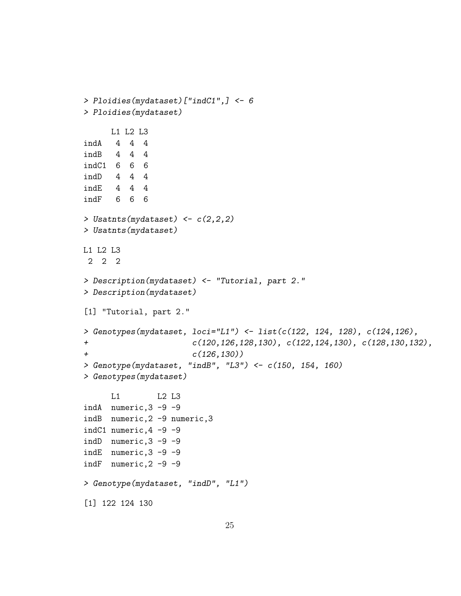```
> Ploidies(mydataset)["indC1",] <- 6
> Ploidies(mydataset)
     L1 L2 L3
indA 4 4 4
indB 4 4 4
indC1 6 6 6
indD 4 4 4
indE 4 4 4
indF 6 6 6
> Usatnts(mydataset) <- c(2,2,2)
> Usatnts(mydataset)
L1 L2 L3
2 2 2
> Description(mydataset) <- "Tutorial, part 2."
> Description(mydataset)
[1] "Tutorial, part 2."
> Genotypes(mydataset, loci="L1") <- list(c(122, 124, 128), c(124,126),
+ c(120,126,128,130), c(122,124,130), c(128,130,132),
+ c(126,130))
> Genotype(mydataset, "indB", "L3") <- c(150, 154, 160)
> Genotypes(mydataset)
     L1 L2 L3
indA numeric,3 -9 -9
indB numeric,2 -9 numeric,3
indC1 numeric,4 -9 -9
indD numeric,3 -9 -9
indE numeric,3 -9 -9
indF numeric,2 -9 -9
> Genotype(mydataset, "indD", "L1")
[1] 122 124 130
```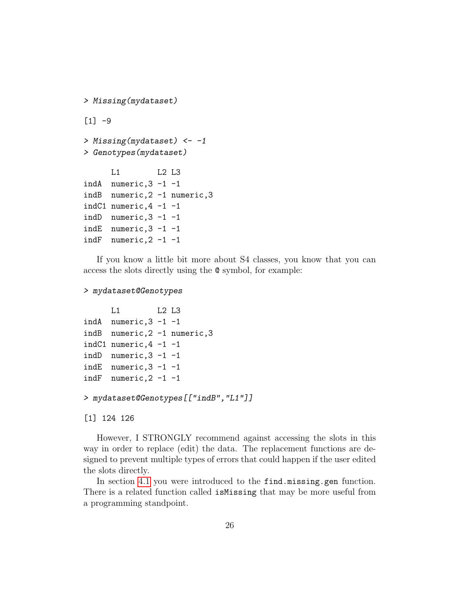```
> Missing(mydataset)
[1] -9> Missing(mydataset) <-1> Genotypes(mydataset)
     L1 L2 L3
indA numeric,3 -1 -1indB numeric,2 -1 numeric,3
indC1 numeric, 4 -1 -1indD numeric,3 -1 -1
indE numeric,3 -1 -1
indF numeric,2 -1 -1
```
If you know a little bit more about S4 classes, you know that you can access the slots directly using the @ symbol, for example:

#### > mydataset@Genotypes

```
L1 L2 L3
indA numeric,3 -1 -1
indB numeric,2 -1 numeric,3
indC1 numeric, 4 -1 -1indD numeric,3 -1 -1
indE numeric,3 -1 -1
indF numeric, 2 -1 -1
```

```
> mydataset@Genotypes[["indB","L1"]]
```
[1] 124 126

However, I STRONGLY recommend against accessing the slots in this way in order to replace (edit) the data. The replacement functions are designed to prevent multiple types of errors that could happen if the user edited the slots directly.

In section [4.1](#page-5-1) you were introduced to the find.missing.gen function. There is a related function called isMissing that may be more useful from a programming standpoint.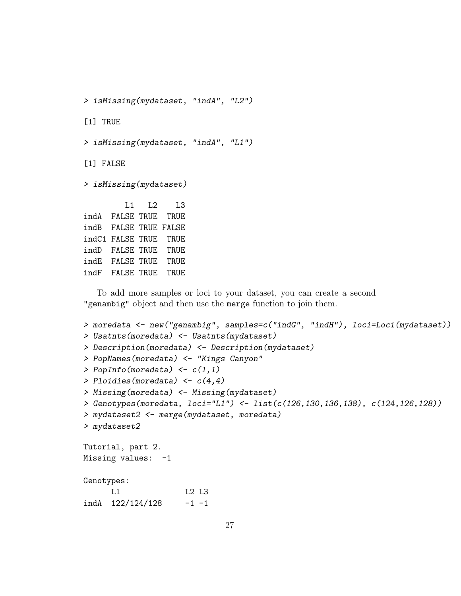> isMissing(mydataset, "indA", "L2")

[1] TRUE

> isMissing(mydataset, "indA", "L1")

[1] FALSE

> isMissing(mydataset)

L1 L2 L3 indA FALSE TRUE TRUE indB FALSE TRUE FALSE indC1 FALSE TRUE TRUE indD FALSE TRUE TRUE indE FALSE TRUE TRUE indF FALSE TRUE TRUE

To add more samples or loci to your dataset, you can create a second "genambig" object and then use the merge function to join them.

```
> moredata <- new("genambig", samples=c("indG", "indH"), loci=Loci(mydataset))
> Usatnts(moredata) <- Usatnts(mydataset)
> Description(moredata) <- Description(mydataset)
> PopNames(moredata) <- "Kings Canyon"
> PopInfo(moredata) \leftarrow c(1,1)> Ploidies(moredata) <-c(4,4)> Missing(moredata) <- Missing(mydataset)
> Genotypes(moredata, loci="L1") <- list(c(126,130,136,138), c(124,126,128))
> mydataset2 <- merge(mydataset, moredata)
> mydataset2
Tutorial, part 2.
Missing values: -1Genotypes:
     L1 L2 L3
indA 122/124/128 -1 -1
```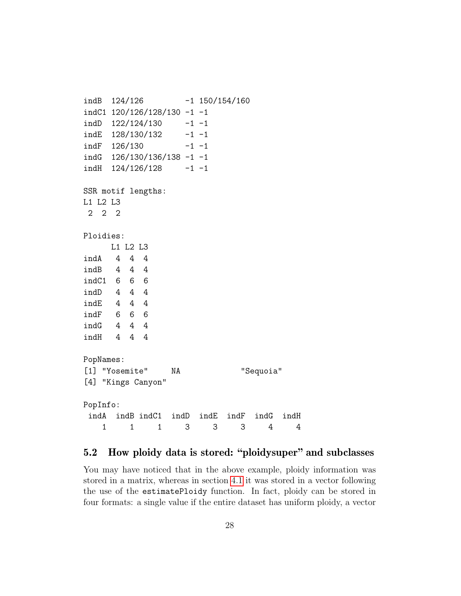```
indB 124/126 -1 150/154/160
indC1 120/126/128/130 -1 -1
indD 122/124/130 -1 -1
indE 128/130/132 -1 -1indF 126/130 -1 -1
indG 126/130/136/138 -1 -1
indH 124/126/128 -1 -1
SSR motif lengths:
L1 L2 L3
2 2 2
Ploidies:
    L1 L2 L3
indA 4 4 4
indB 4 4 4
indC1 6 6 6
indD 4 4 4
indE 4 4 4
indF 6 6 6
indG 4 4 4
indH 4 4 4
PopNames:
[1] "Yosemite" NA "Sequoia"
[4] "Kings Canyon"
PopInfo:
indA indB indC1 indD indE indF indG indH
   1 1 1 3 3 3 4 4
```
## <span id="page-27-0"></span>5.2 How ploidy data is stored: "ploidysuper" and subclasses

You may have noticed that in the above example, ploidy information was stored in a matrix, whereas in section [4.1](#page-5-1) it was stored in a vector following the use of the estimatePloidy function. In fact, ploidy can be stored in four formats: a single value if the entire dataset has uniform ploidy, a vector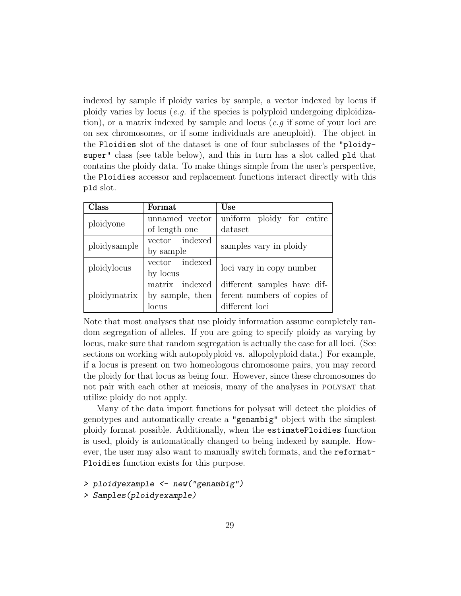indexed by sample if ploidy varies by sample, a vector indexed by locus if ploidy varies by locus (*e.g.* if the species is polyploid undergoing diploidization), or a matrix indexed by sample and locus (e.g if some of your loci are on sex chromosomes, or if some individuals are aneuploid). The object in the Ploidies slot of the dataset is one of four subclasses of the "ploidysuper" class (see table below), and this in turn has a slot called pld that contains the ploidy data. To make things simple from the user's perspective, the Ploidies accessor and replacement functions interact directly with this pld slot.

| Class        | Format          | <b>Use</b>                  |  |  |
|--------------|-----------------|-----------------------------|--|--|
| ploidyone    | unnamed vector  | uniform ploidy for entire   |  |  |
|              | of length one   | dataset                     |  |  |
| ploidysample | vector indexed  | samples vary in ploidy      |  |  |
|              | by sample       |                             |  |  |
| ploidylocus  | vector indexed  | loci vary in copy number    |  |  |
|              | by locus        |                             |  |  |
|              | matrix indexed  | different samples have dif- |  |  |
| ploidymatrix | by sample, then | ferent numbers of copies of |  |  |
|              | locus           | different loci              |  |  |

Note that most analyses that use ploidy information assume completely random segregation of alleles. If you are going to specify ploidy as varying by locus, make sure that random segregation is actually the case for all loci. (See sections on working with autopolyploid vs. allopolyploid data.) For example, if a locus is present on two homeologous chromosome pairs, you may record the ploidy for that locus as being four. However, since these chromosomes do not pair with each other at meiosis, many of the analyses in POLYSAT that utilize ploidy do not apply.

Many of the data import functions for polysat will detect the ploidies of genotypes and automatically create a "genambig" object with the simplest ploidy format possible. Additionally, when the estimatePloidies function is used, ploidy is automatically changed to being indexed by sample. However, the user may also want to manually switch formats, and the reformat-Ploidies function exists for this purpose.

```
> ploidyexample <- new("genambig")
```

```
> Samples(ploidyexample)
```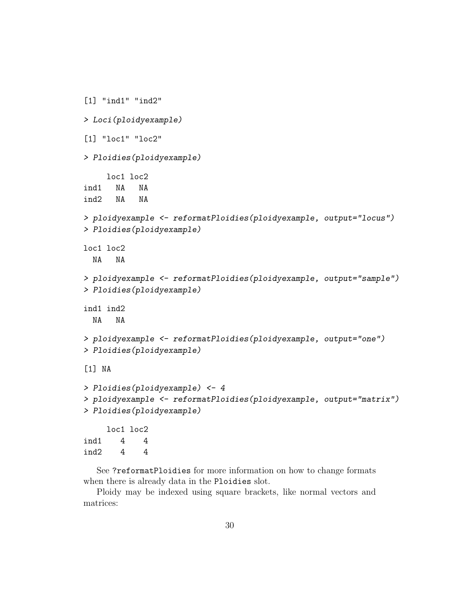```
[1] "ind1" "ind2"
> Loci(ploidyexample)
[1] "loc1" "loc2"
> Ploidies(ploidyexample)
    loc1 loc2
ind1 NA NA
ind2 NA NA
> ploidyexample <- reformatPloidies(ploidyexample, output="locus")
> Ploidies(ploidyexample)
loc1 loc2
 NA NA
> ploidyexample <- reformatPloidies(ploidyexample, output="sample")
> Ploidies(ploidyexample)
ind1 ind2
 NA NA
> ploidyexample <- reformatPloidies(ploidyexample, output="one")
> Ploidies(ploidyexample)
[1] NA
> Ploidies(ploidyexample) <- 4
> ploidyexample <- reformatPloidies(ploidyexample, output="matrix")
> Ploidies(ploidyexample)
    loc1 loc2
ind1 4 4
```

```
ind2 4 4
```
See ?reformatPloidies for more information on how to change formats when there is already data in the Ploidies slot.

Ploidy may be indexed using square brackets, like normal vectors and matrices: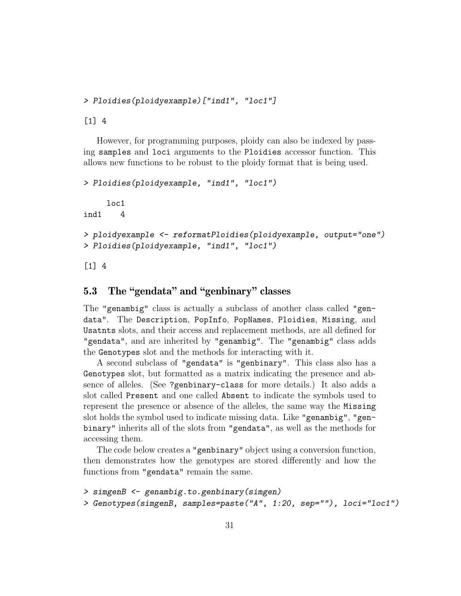```
> Ploidies(ploidyexample)["ind1", "loc1"]
```
[1] 4

However, for programming purposes, ploidy can also be indexed by passing samples and loci arguments to the Ploidies accessor function. This allows new functions to be robust to the ploidy format that is being used.

```
> Ploidies(ploidyexample, "ind1", "loc1")
    loc1
ind1 4
> ploidyexample <- reformatPloidies(ploidyexample, output="one")
> Ploidies(ploidyexample, "ind1", "loc1")
```
 $[1]$  4

## <span id="page-30-0"></span>5.3 The "gendata" and "genbinary" classes

The "genambig" class is actually a subclass of another class called "gendata". The Description, PopInfo, PopNames, Ploidies, Missing, and Usatnts slots, and their access and replacement methods, are all defined for "gendata", and are inherited by "genambig". The "genambig" class adds the Genotypes slot and the methods for interacting with it.

A second subclass of "gendata" is "genbinary". This class also has a Genotypes slot, but formatted as a matrix indicating the presence and absence of alleles. (See ?genbinary-class for more details.) It also adds a slot called Present and one called Absent to indicate the symbols used to represent the presence or absence of the alleles, the same way the Missing slot holds the symbol used to indicate missing data. Like "genambig", "genbinary" inherits all of the slots from "gendata", as well as the methods for accessing them.

The code below creates a "genbinary" object using a conversion function, then demonstrates how the genotypes are stored differently and how the functions from "gendata" remain the same.

```
> simgenB <- genambig.to.genbinary(simgen)
> Genotypes(simgenB, samples=paste("A", 1:20, sep=""), loci="loc1")
```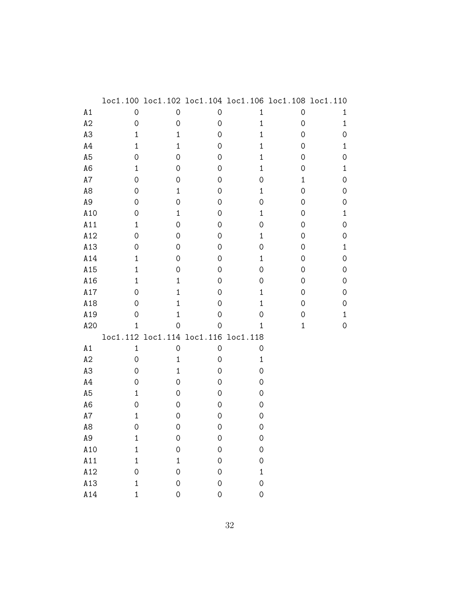|                |              | loc1.100 loc1.102 loc1.104 loc1.106 loc1.108 loc1.110 |                     |                     |             |              |
|----------------|--------------|-------------------------------------------------------|---------------------|---------------------|-------------|--------------|
| A1             | $\mathbf 0$  | $\mathbf 0$                                           | 0                   | 1                   | $\mathbf 0$ | 1            |
| A2             | $\mathsf O$  | $\mathsf{O}\xspace$                                   | $\mathsf O$         | $\mathbf 1$         | $\mathbf 0$ | $\mathbf{1}$ |
| A3             | $\mathbf 1$  | $\mathbf{1}$                                          | 0                   | $\mathbf 1$         | 0           | 0            |
| $\mathtt{A4}$  | $\mathbf{1}$ | $\mathbf{1}$                                          | 0                   | $\mathbf 1$         | 0           | $\mathbf 1$  |
| A <sub>5</sub> | 0            | 0                                                     | 0                   | 1                   | 0           | 0            |
| A <sub>6</sub> | $\mathbf{1}$ | $\mathsf{O}\xspace$                                   | 0                   | $\mathbf 1$         | 0           | $\mathbf{1}$ |
| A7             | 0            | 0                                                     | 0                   | 0                   | $\mathbf 1$ | 0            |
| A8             | $\mathbf 0$  | 1                                                     | 0                   | 1                   | $\mathbf 0$ | 0            |
| A9             | 0            | 0                                                     | 0                   | 0                   | 0           | 0            |
| A10            | 0            | 1                                                     | 0                   | $\mathbf 1$         | 0           | $\mathbf{1}$ |
| A11            | 1            | 0                                                     | 0                   | 0                   | 0           | 0            |
| A12            | $\mathbf 0$  | $\mathsf{O}\xspace$                                   | 0                   | 1                   | 0           | 0            |
| A13            | 0            | 0                                                     | 0                   | 0                   | 0           | $\mathbf 1$  |
| A14            | $\mathbf{1}$ | 0                                                     | 0                   | $\mathbf 1$         | 0           | 0            |
| A15            | $\mathbf 1$  | 0                                                     | 0                   | 0                   | 0           | 0            |
| A16            | $\mathbf{1}$ | $\mathbf{1}$                                          | 0                   | 0                   | $\mathbf 0$ | 0            |
| A17            | 0            | $\mathbf{1}$                                          | 0                   | 1                   | 0           | 0            |
| A18            | $\mathbf 0$  | $\mathbf{1}$                                          | $\mathbf 0$         | $\mathbf 1$         | 0           | 0            |
| A19            | 0            | $\mathbf{1}$                                          | 0                   | 0                   | 0           | 1            |
| A20            | $\mathbf{1}$ | 0                                                     | 0                   | $\mathbf 1$         | $\mathbf 1$ | $\mathbf 0$  |
|                | loc1.112     | loc1.114 loc1.116                                     |                     | loc1.118            |             |              |
| A1             | $1\,$        | $\mathsf{O}\xspace$                                   | 0                   | $\mathsf{O}\xspace$ |             |              |
| A2             | 0            | $\mathbf{1}$                                          | 0                   | 1                   |             |              |
| A3             | 0            | $\mathbf{1}$                                          | 0                   | 0                   |             |              |
| A4             | 0            | 0                                                     | 0                   | 0                   |             |              |
| A <sub>5</sub> | $\mathbf 1$  | 0                                                     | 0                   | 0                   |             |              |
| A <sub>6</sub> | 0            | $\mathsf{O}\xspace$                                   | 0                   | 0                   |             |              |
| A7             | $\mathbf{1}$ | 0                                                     | 0                   | $\mathsf{O}\xspace$ |             |              |
| A8             | 0            | 0                                                     | 0                   | $\mathsf{O}\xspace$ |             |              |
| А9             | $\mathbf 1$  | 0                                                     | 0                   | $\mathbf 0$         |             |              |
| A10            | $\mathbf{1}$ | $\mathsf{O}\xspace$                                   | $\mathsf{O}\xspace$ | $\hbox{O}$          |             |              |
| A11            | $\mathbf{1}$ | $\mathbf{1}$                                          | 0                   | 0                   |             |              |
| A12            | $\hbox{O}$   | 0                                                     | $\mathbf 0$         | $\mathbf{1}$        |             |              |
| A13            | $\mathbf 1$  | $\mathsf{O}\xspace$                                   | $\mathsf{O}\xspace$ | $\mathsf{O}\xspace$ |             |              |
| A14            | $\mathbf{1}$ | $\mathsf{O}\xspace$                                   | $\mathsf{O}\xspace$ | $\mathsf{O}\xspace$ |             |              |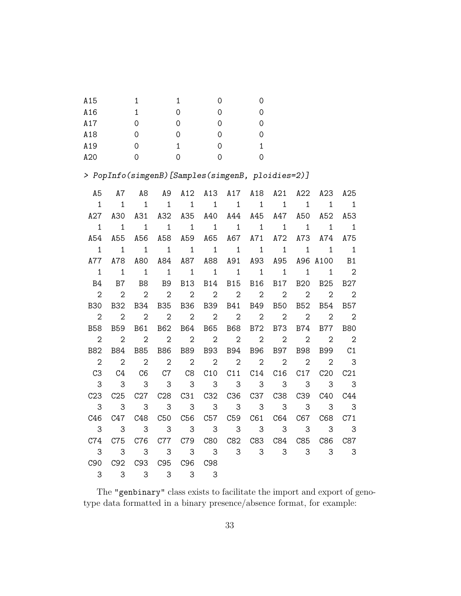| A15 | 1. | 1 | 0  |    |
|-----|----|---|----|----|
| A16 | 1. | 0 | 0  | 0  |
| A17 | 0  | 0 | 0  | 0  |
| A18 | 0  | 0 | O  | 0  |
| A19 | 0  | 1 | 0  | 1. |
| A20 | O  | 0 | O) |    |

> PopInfo(simgenB)[Samples(simgenB, ploidies=2)]

| A5                         | A7                         |                                                                |  |  |  | A8 A9 A12 A13 A17 A18 A21 A22 A23 A25           |  |
|----------------------------|----------------------------|----------------------------------------------------------------|--|--|--|-------------------------------------------------|--|
| $\overline{1}$             | $\overline{1}$             |                                                                |  |  |  | 1 1 1 1 1 1 1 1 1 1 1                           |  |
|                            |                            |                                                                |  |  |  | A27 A30 A31 A32 A35 A40 A44 A45 A47 A50 A52 A53 |  |
| $\overline{1}$             | $\overline{1}$             |                                                                |  |  |  | 1 1 1 1 1 1 1 1 1 1                             |  |
|                            |                            |                                                                |  |  |  | A54 A55 A56 A58 A59 A65 A67 A71 A72 A73 A74 A75 |  |
| $\overline{1}$             |                            |                                                                |  |  |  | 1 1 1 1 1 1 1 1 1 1 1 1                         |  |
|                            |                            |                                                                |  |  |  | A77 A78 A80 A84 A87 A88 A91 A93 A95 A96 A100 B1 |  |
| $\overline{1}$             |                            |                                                                |  |  |  |                                                 |  |
| – B4                       |                            |                                                                |  |  |  | B7 B8 B9 B13 B14 B15 B16 B17 B20 B25 B27        |  |
| $\overline{\phantom{0}}$ 2 |                            |                                                                |  |  |  | 2 2 2 2 2 2 2 2 2 2 2                           |  |
|                            |                            |                                                                |  |  |  | B30 B32 B34 B35 B36 B39 B41 B49 B50 B52 B54 B57 |  |
| $\overline{\phantom{0}}^2$ |                            |                                                                |  |  |  | 2 2 2 2 2 2 2 2 2 2 2                           |  |
|                            |                            |                                                                |  |  |  | B58 B59 B61 B62 B64 B65 B68 B72 B73 B74 B77 B80 |  |
| $\overline{\phantom{0}}^2$ |                            |                                                                |  |  |  | 2 2 2 2 2 2 2 2 2 2 2                           |  |
|                            |                            |                                                                |  |  |  | B82 B84 B85 B86 B89 B93 B94 B96 B97 B98 B99 C1  |  |
| $\overline{\phantom{0}}^2$ |                            |                                                                |  |  |  | 2 2 2 2 2 2 2 2 2 2 3                           |  |
| C3                         |                            |                                                                |  |  |  | C4 C6 C7 C8 C10 C11 C14 C16 C17 C20 C21         |  |
| $\overline{\phantom{a}}$ 3 |                            |                                                                |  |  |  | 3 3 3 3 3 3 3 3 3 3 3                           |  |
|                            |                            |                                                                |  |  |  | C23 C25 C27 C28 C31 C32 C36 C37 C38 C39 C40 C44 |  |
| $\overline{\mathbf{3}}$    | $\overline{\phantom{a}}$ 3 |                                                                |  |  |  | 3 3 3 3 3 3 3 3 3 3                             |  |
| C46                        |                            |                                                                |  |  |  | C47 C48 C50 C56 C57 C59 C61 C64 C67 C68 C71     |  |
| - 3                        | $\overline{\phantom{a}}$ 3 |                                                                |  |  |  | 3 3 3 3 3 3 3 3 3 3                             |  |
|                            |                            |                                                                |  |  |  | C74 C75 C76 C77 C79 C80 C82 C83 C84 C85 C86 C87 |  |
| $\overline{\mathbf{3}}$    |                            |                                                                |  |  |  | 3 3 3 3 3 3 3 3 3 3 3                           |  |
| C90                        |                            | C92 C93 C95 C96 C98                                            |  |  |  |                                                 |  |
|                            |                            | $\begin{array}{ccccccccc}\n3 & 3 & 3 & 3 & 3 & 3\n\end{array}$ |  |  |  |                                                 |  |

The "genbinary" class exists to facilitate the import and export of genotype data formatted in a binary presence/absence format, for example: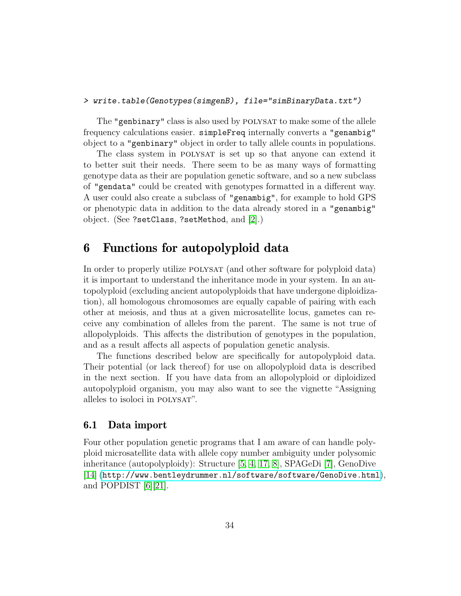### > write.table(Genotypes(simgenB), file="simBinaryData.txt")

The "genbinary" class is also used by POLYSAT to make some of the allele frequency calculations easier. simpleFreq internally converts a "genambig" object to a "genbinary" object in order to tally allele counts in populations.

The class system in POLYSAT is set up so that anyone can extend it to better suit their needs. There seem to be as many ways of formatting genotype data as their are population genetic software, and so a new subclass of "gendata" could be created with genotypes formatted in a different way. A user could also create a subclass of "genambig", for example to hold GPS or phenotypic data in addition to the data already stored in a "genambig" object. (See ?setClass, ?setMethod, and [\[2\]](#page-52-1).)

## <span id="page-33-0"></span>6 Functions for autopolyploid data

In order to properly utilize POLYSAT (and other software for polyploid data) it is important to understand the inheritance mode in your system. In an autopolyploid (excluding ancient autopolyploids that have undergone diploidization), all homologous chromosomes are equally capable of pairing with each other at meiosis, and thus at a given microsatellite locus, gametes can receive any combination of alleles from the parent. The same is not true of allopolyploids. This affects the distribution of genotypes in the population, and as a result affects all aspects of population genetic analysis.

The functions described below are specifically for autopolyploid data. Their potential (or lack thereof) for use on allopolyploid data is described in the next section. If you have data from an allopolyploid or diploidized autopolyploid organism, you may also want to see the vignette "Assigning alleles to isoloci in POLYSAT".

### <span id="page-33-1"></span>6.1 Data import

Four other population genetic programs that I am aware of can handle polyploid microsatellite data with allele copy number ambiguity under polysomic inheritance (autopolyploidy): Structure [\[5,](#page-52-2) [4,](#page-52-3) [17,](#page-53-3) [8\]](#page-53-4), SPAGeDi [\[7\]](#page-53-5), GenoDive [\[14\]](#page-53-6) (<http://www.bentleydrummer.nl/software/software/GenoDive.html>), and POPDIST [\[6\]](#page-52-4)[\[21\]](#page-54-1).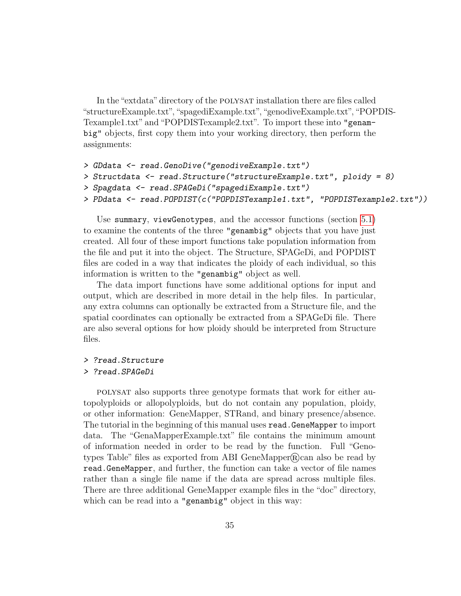In the "extdata" directory of the POLYSAT installation there are files called "structureExample.txt","spagediExample.txt","genodiveExample.txt","POPDIS-Texample1.txt" and "POPDISTexample2.txt". To import these into "genambig" objects, first copy them into your working directory, then perform the assignments:

```
> GDdata <- read.GenoDive("genodiveExample.txt")
> Structdata <- read.Structure("structureExample.txt", ploidy = 8)
> Spagdata <- read.SPAGeDi("spagediExample.txt")
> PDdata <- read.POPDIST(c("POPDISTexample1.txt", "POPDISTexample2.txt"))
```
Use summary, viewGenotypes, and the accessor functions (section [5.1\)](#page-20-2) to examine the contents of the three "genambig" objects that you have just created. All four of these import functions take population information from the file and put it into the object. The Structure, SPAGeDi, and POPDIST files are coded in a way that indicates the ploidy of each individual, so this information is written to the "genambig" object as well.

The data import functions have some additional options for input and output, which are described in more detail in the help files. In particular, any extra columns can optionally be extracted from a Structure file, and the spatial coordinates can optionally be extracted from a SPAGeDi file. There are also several options for how ploidy should be interpreted from Structure files.

> ?read.Structure

#### > ?read.SPAGeDi

polysat also supports three genotype formats that work for either autopolyploids or allopolyploids, but do not contain any population, ploidy, or other information: GeneMapper, STRand, and binary presence/absence. The tutorial in the beginning of this manual uses read.GeneMapper to import data. The "GenaMapperExample.txt" file contains the minimum amount of information needed in order to be read by the function. Full "Genotypes Table" files as exported from ABI GeneMapper $\mathbb{R}$ can also be read by read.GeneMapper, and further, the function can take a vector of file names rather than a single file name if the data are spread across multiple files. There are three additional GeneMapper example files in the "doc" directory, which can be read into a "genambig" object in this way: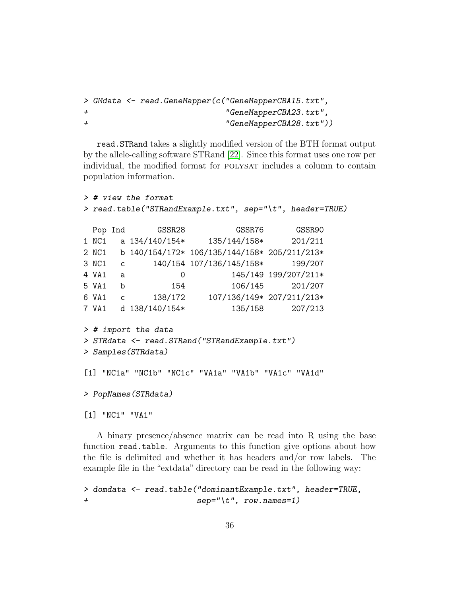```
> GMdata <- read.GeneMapper(c("GeneMapperCBA15.txt",
+ "GeneMapperCBA23.txt",
+ "GeneMapperCBA28.txt"))
```
read.STRand takes a slightly modified version of the BTH format output by the allele-calling software STRand [\[22\]](#page-54-2). Since this format uses one row per individual, the modified format for POLYSAT includes a column to contain population information.

```
> # view the format
> read.table("STRandExample.txt", sep="\t", header=TRUE)
```

|       | Pop Ind      | GSSR28           | GSSR76                                       | GSSR90                    |
|-------|--------------|------------------|----------------------------------------------|---------------------------|
| 1 NC1 |              | a $134/140/154*$ | 135/144/158*                                 | 201/211                   |
| 2 NC1 |              |                  | b 140/154/172* 106/135/144/158* 205/211/213* |                           |
| 3 NC1 | $\mathsf{C}$ |                  | 140/154 107/136/145/158*                     | 199/207                   |
| 4 VA1 | a            | $\overline{0}$   |                                              | 145/149 199/207/211*      |
| 5 VA1 | b            | 154              | 106/145                                      | 201/207                   |
| 6 VA1 | C            | 138/172          |                                              | 107/136/149* 207/211/213* |
| 7 VA1 |              | d 138/140/154*   | 135/158                                      | 207/213                   |
|       |              |                  |                                              |                           |

```
> # import the data
```

```
> STRdata <- read.STRand("STRandExample.txt")
```

```
> Samples(STRdata)
```

```
[1] "NC1a" "NC1b" "NC1c" "VA1a" "VA1b" "VA1c" "VA1d"
```

```
> PopNames(STRdata)
```
[1] "NC1" "VA1"

A binary presence/absence matrix can be read into R using the base function read.table. Arguments to this function give options about how the file is delimited and whether it has headers and/or row labels. The example file in the "extdata" directory can be read in the following way:

```
> domdata <- read.table("dominantExample.txt", header=TRUE,
+ sep="\t", row.names=1)
```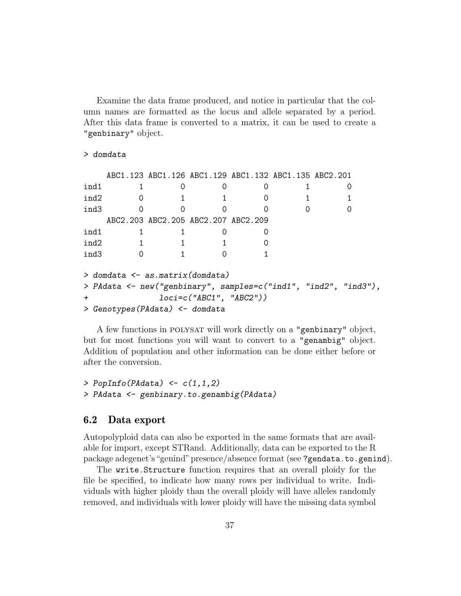Examine the data frame produced, and notice in particular that the column names are formatted as the locus and allele separated by a period. After this data frame is converted to a matrix, it can be used to create a "genbinary" object.

#### > domdata

```
ABC1.123 ABC1.126 ABC1.129 ABC1.132 ABC1.135 ABC2.201
ind1 1 0 0 0 1 0
ind2 0 1 1 0 1 1
ind3 0 0 0 0 0 0
   ABC2.203 ABC2.205 ABC2.207 ABC2.209
ind1 1 1 0 0
ind2 1 1 1 0
ind3 0 1 0 1
> domdata <- as.matrix(domdata)
> PAdata <- new("genbinary", samples=c("ind1", "ind2", "ind3"),
          loci=c("ABC1", "ABC2"))
> Genotypes(PAdata) <- domdata
```
A few functions in polysat will work directly on a "genbinary" object, but for most functions you will want to convert to a "genambig" object. Addition of population and other information can be done either before or after the conversion.

```
> PopInfo(PAdata) \leftarrow c(1,1,2)> PAdata <- genbinary.to.genambig(PAdata)
```
### <span id="page-36-0"></span>6.2 Data export

Autopolyploid data can also be exported in the same formats that are available for import, except STRand. Additionally, data can be exported to the R package adegenet's"genind"presence/absence format (see ?gendata.to.genind).

The write.Structure function requires that an overall ploidy for the file be specified, to indicate how many rows per individual to write. Individuals with higher ploidy than the overall ploidy will have alleles randomly removed, and individuals with lower ploidy will have the missing data symbol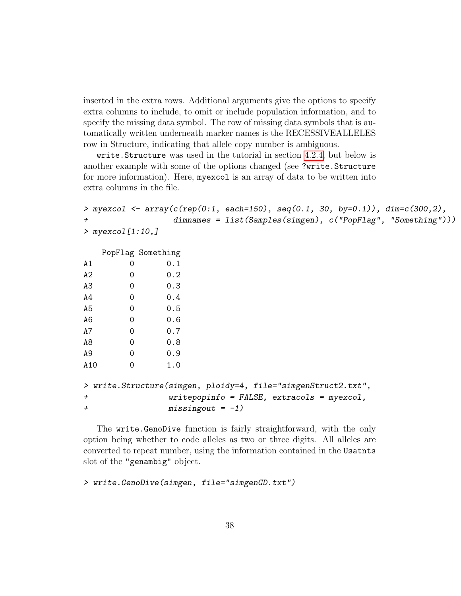inserted in the extra rows. Additional arguments give the options to specify extra columns to include, to omit or include population information, and to specify the missing data symbol. The row of missing data symbols that is automatically written underneath marker names is the RECESSIVEALLELES row in Structure, indicating that allele copy number is ambiguous.

write.Structure was used in the tutorial in section [4.2.4,](#page-20-0) but below is another example with some of the options changed (see ?write.Structure for more information). Here, myexcol is an array of data to be written into extra columns in the file.

```
> myexcol <- array(c(rep(0:1, each=150), seq(0.1, 30, by=0.1)), dim=c(300,2),
                   dimnames = list(Samples(simgen), c("PopFlag", "Something")))
> myexcol[1:10,]
```
PopFlag Something

| Α1             | ი | 0.1 |
|----------------|---|-----|
| A2             | 0 | 0.2 |
| A3             | 0 | 0.3 |
| A4             | 0 | 0.4 |
| A5             | 0 | 0.5 |
| A <sub>6</sub> | 0 | 0.6 |
| Α7             | 0 | 0.7 |
| A8             | 0 | 0.8 |
| A9             | 0 | 0.9 |
| A10            | 0 | 1.0 |

```
> write.Structure(simgen, ploidy=4, file="simgenStruct2.txt",
+ writepopinfo = FALSE, extracols = myexcol,
+ missingout = -1)
```
The write.GenoDive function is fairly straightforward, with the only option being whether to code alleles as two or three digits. All alleles are converted to repeat number, using the information contained in the Usatnts slot of the "genambig" object.

```
> write.GenoDive(simgen, file="simgenGD.txt")
```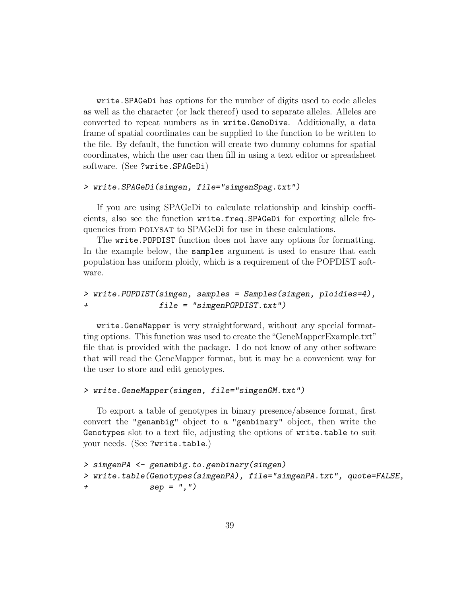write.SPAGeDi has options for the number of digits used to code alleles as well as the character (or lack thereof) used to separate alleles. Alleles are converted to repeat numbers as in write.GenoDive. Additionally, a data frame of spatial coordinates can be supplied to the function to be written to the file. By default, the function will create two dummy columns for spatial coordinates, which the user can then fill in using a text editor or spreadsheet software. (See ?write.SPAGeDi)

#### > write.SPAGeDi(simgen, file="simgenSpag.txt")

If you are using SPAGeDi to calculate relationship and kinship coefficients, also see the function write.freq.SPAGeDi for exporting allele frequencies from POLYSAT to SPAGeDi for use in these calculations.

The write.POPDIST function does not have any options for formatting. In the example below, the samples argument is used to ensure that each population has uniform ploidy, which is a requirement of the POPDIST software.

```
> write.POPDIST(simgen, samples = Samples(simgen, ploidies=4),
+ file = "simgenPOPDIST.txt")
```
write.GeneMapper is very straightforward, without any special formatting options. This function was used to create the"GeneMapperExample.txt" file that is provided with the package. I do not know of any other software that will read the GeneMapper format, but it may be a convenient way for the user to store and edit genotypes.

### > write.GeneMapper(simgen, file="simgenGM.txt")

To export a table of genotypes in binary presence/absence format, first convert the "genambig" object to a "genbinary" object, then write the Genotypes slot to a text file, adjusting the options of write.table to suit your needs. (See ?write.table.)

```
> simgenPA <- genambig.to.genbinary(simgen)
> write.table(Genotypes(simgenPA), file="simgenPA.txt", quote=FALSE,
+ sep = ",")
```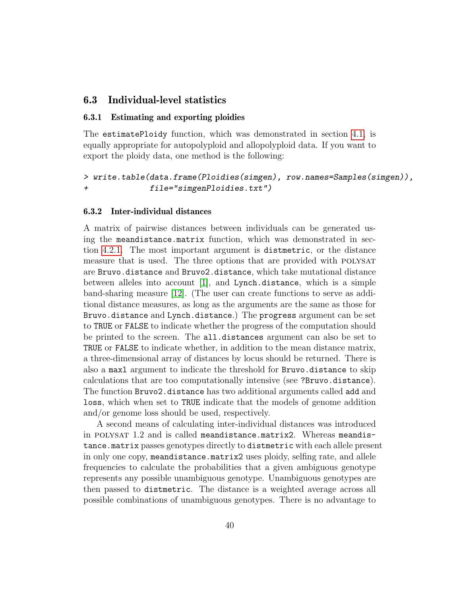### <span id="page-39-0"></span>6.3 Individual-level statistics

#### <span id="page-39-1"></span>6.3.1 Estimating and exporting ploidies

The estimatePloidy function, which was demonstrated in section [4.1,](#page-5-1) is equally appropriate for autopolyploid and allopolyploid data. If you want to export the ploidy data, one method is the following:

```
> write.table(data.frame(Ploidies(simgen), row.names=Samples(simgen)),
+ file="simgenPloidies.txt")
```
#### <span id="page-39-2"></span>6.3.2 Inter-individual distances

A matrix of pairwise distances between individuals can be generated using the meandistance.matrix function, which was demonstrated in section [4.2.1.](#page-10-1) The most important argument is distmetric, or the distance measure that is used. The three options that are provided with POLYSAT are Bruvo.distance and Bruvo2.distance, which take mutational distance between alleles into account [\[1\]](#page-52-5), and Lynch.distance, which is a simple band-sharing measure [\[12\]](#page-53-7). (The user can create functions to serve as additional distance measures, as long as the arguments are the same as those for Bruvo.distance and Lynch.distance.) The progress argument can be set to TRUE or FALSE to indicate whether the progress of the computation should be printed to the screen. The all.distances argument can also be set to TRUE or FALSE to indicate whether, in addition to the mean distance matrix, a three-dimensional array of distances by locus should be returned. There is also a maxl argument to indicate the threshold for Bruvo.distance to skip calculations that are too computationally intensive (see ?Bruvo.distance). The function Bruvo2.distance has two additional arguments called add and loss, which when set to TRUE indicate that the models of genome addition and/or genome loss should be used, respectively.

A second means of calculating inter-individual distances was introduced in POLYSAT 1.2 and is called meandistance.matrix2. Whereas meandistance.matrix passes genotypes directly to distmetric with each allele present in only one copy, meandistance.matrix2 uses ploidy, selfing rate, and allele frequencies to calculate the probabilities that a given ambiguous genotype represents any possible unambiguous genotype. Unambiguous genotypes are then passed to distmetric. The distance is a weighted average across all possible combinations of unambiguous genotypes. There is no advantage to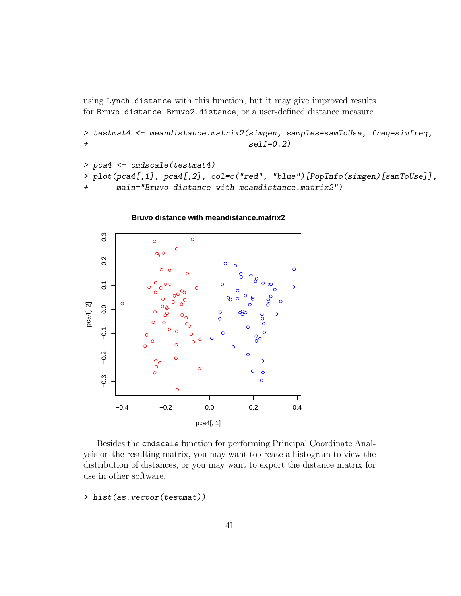using Lynch.distance with this function, but it may give improved results for Bruvo.distance, Bruvo2.distance, or a user-defined distance measure.

```
> testmat4 <- meandistance.matrix2(simgen, samples=samToUse, freq=simfreq,
+ self=0.2)
```

```
> pca4 <- cmdscale(testmat4)
> plot(pca4[,1], pca4[,2], col=c("red", "blue")[PopInfo(simgen)[samToUse]],
+ main="Bruvo distance with meandistance.matrix2")
```


Besides the cmdscale function for performing Principal Coordinate Analysis on the resulting matrix, you may want to create a histogram to view the distribution of distances, or you may want to export the distance matrix for use in other software.

> hist(as.vector(testmat))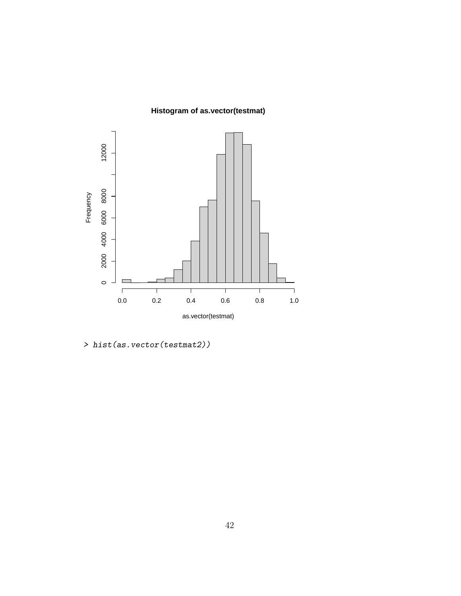**Histogram of as.vector(testmat)**



> hist(as.vector(testmat2))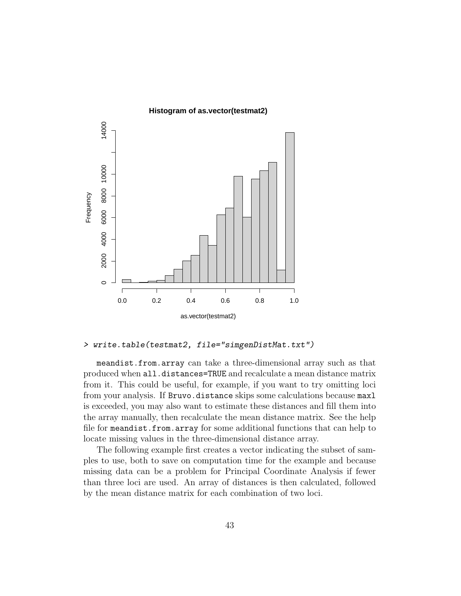

> write.table(testmat2, file="simgenDistMat.txt")

meandist.from.array can take a three-dimensional array such as that produced when all.distances=TRUE and recalculate a mean distance matrix from it. This could be useful, for example, if you want to try omitting loci from your analysis. If Bruvo.distance skips some calculations because maxl is exceeded, you may also want to estimate these distances and fill them into the array manually, then recalculate the mean distance matrix. See the help file for meandist.from.array for some additional functions that can help to locate missing values in the three-dimensional distance array.

The following example first creates a vector indicating the subset of samples to use, both to save on computation time for the example and because missing data can be a problem for Principal Coordinate Analysis if fewer than three loci are used. An array of distances is then calculated, followed by the mean distance matrix for each combination of two loci.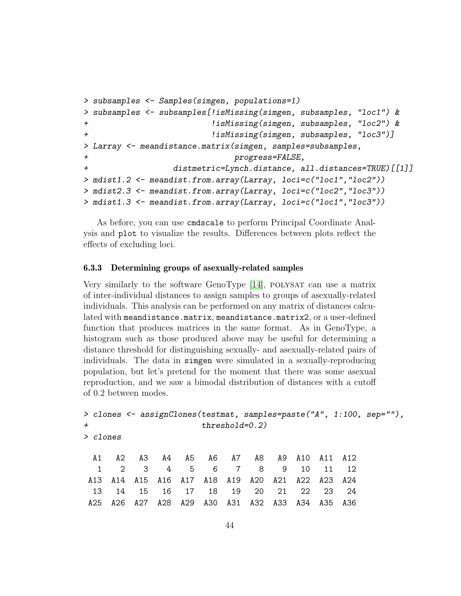```
> subsamples <- Samples(simgen, populations=1)
> subsamples <- subsamples[!isMissing(simgen, subsamples, "loc1") &
+ !isMissing(simgen, subsamples, "loc2") &
+ !isMissing(simgen, subsamples, "loc3")]
> Larray <- meandistance.matrix(simgen, samples=subsamples,
+ progress=FALSE,
+ distmetric=Lynch.distance, all.distances=TRUE)[[1]]
> mdist1.2 <- meandist.from.array(Larray, loci=c("loc1","loc2"))
> mdist2.3 <- meandist.from.array(Larray, loci=c("loc2","loc3"))
> mdist1.3 <- meandist.from.array(Larray, loci=c("loc1","loc3"))
```
As before, you can use cmdscale to perform Principal Coordinate Analysis and plot to visualize the results. Differences between plots reflect the effects of excluding loci.

#### <span id="page-43-0"></span>6.3.3 Determining groups of asexually-related samples

Very similarly to the software GenoType  $[14]$ , polysat can use a matrix of inter-individual distances to assign samples to groups of asexually-related individuals. This analysis can be performed on any matrix of distances calculated with meandistance.matrix, meandistance.matrix2, or a user-defined function that produces matrices in the same format. As in GenoType, a histogram such as those produced above may be useful for determining a distance threshold for distinguishing sexually- and asexually-related pairs of individuals. The data in simgen were simulated in a sexually-reproducing population, but let's pretend for the moment that there was some asexual reproduction, and we saw a bimodal distribution of distances with a cutoff of 0.2 between modes.

```
> clones <- assignClones(testmat, samples=paste("A", 1:100, sep=""),
+ threshold=0.2)
> clones
 A1 A2 A3 A4 A5 A6 A7 A8 A9 A10 A11 A12
  1 2 3 4 5 6 7 8 9 10 11 12
A13 A14 A15 A16 A17 A18 A19 A20 A21 A22 A23 A24
 13 14 15 16 17 18 19 20 21 22 23 24
A25 A26 A27 A28 A29 A30 A31 A32 A33 A34 A35 A36
```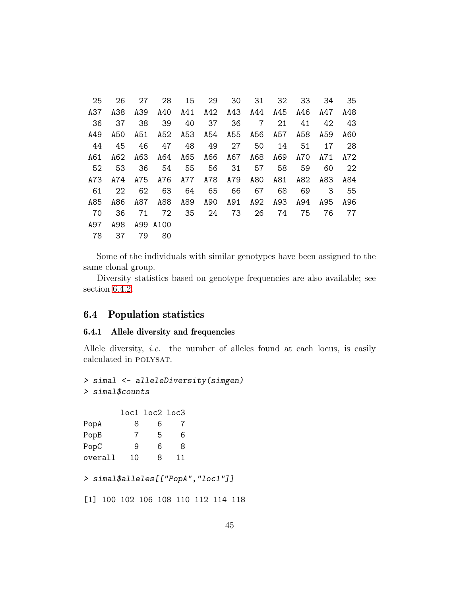| 25  | 26  | 27  | 28       | 15  | 29  | 30  | 31  | 32  | 33  | 34  | 35  |
|-----|-----|-----|----------|-----|-----|-----|-----|-----|-----|-----|-----|
| A37 | A38 | A39 | A40      | A41 | A42 | A43 | A44 | A45 | A46 | A47 | A48 |
| 36  | 37  | 38  | 39       | 40  | 37  | 36  | 7   | 21  | 41  | 42  | 43  |
| A49 | A50 | A51 | A52      | A53 | A54 | A55 | A56 | A57 | A58 | A59 | A60 |
| 44  | 45  | 46  | 47       | 48  | 49  | 27  | 50  | 14  | 51  | 17  | 28  |
| A61 | A62 | A63 | A64      | A65 | A66 | A67 | A68 | A69 | A70 | A71 | A72 |
| 52  | 53  | 36  | 54       | 55  | 56  | 31  | 57  | 58  | 59  | 60  | 22  |
| A73 | A74 | A75 | A76      | A77 | A78 | A79 | A80 | A81 | A82 | A83 | A84 |
| 61  | 22  | 62  | 63       | 64  | 65  | 66  | 67  | 68  | 69  | 3   | 55  |
| A85 | A86 | A87 | A88      | A89 | A90 | A91 | A92 | A93 | A94 | A95 | A96 |
| 70  | 36  | 71  | 72       | 35  | 24  | 73  | 26  | 74  | 75  | 76  | 77  |
| A97 | A98 |     | A99 A100 |     |     |     |     |     |     |     |     |
| 78  | 37  | 79  | 80       |     |     |     |     |     |     |     |     |
|     |     |     |          |     |     |     |     |     |     |     |     |

Some of the individuals with similar genotypes have been assigned to the same clonal group.

Diversity statistics based on genotype frequencies are also available; see section [6.4.2.](#page-46-0)

### <span id="page-44-0"></span>6.4 Population statistics

#### <span id="page-44-1"></span>6.4.1 Allele diversity and frequencies

Allele diversity, *i.e.* the number of alleles found at each locus, is easily calculated in POLYSAT.

```
> simal <- alleleDiversity(simgen)
> simal$counts
```

| 8  | 6 | 7  |                |
|----|---|----|----------------|
| 7  | 5 | 6  |                |
| 9  | 6 | 8  |                |
| 10 | 8 | 11 |                |
|    |   |    | loc1 loc2 loc3 |

```
> simal$alleles[["PopA","loc1"]]
```
[1] 100 102 106 108 110 112 114 118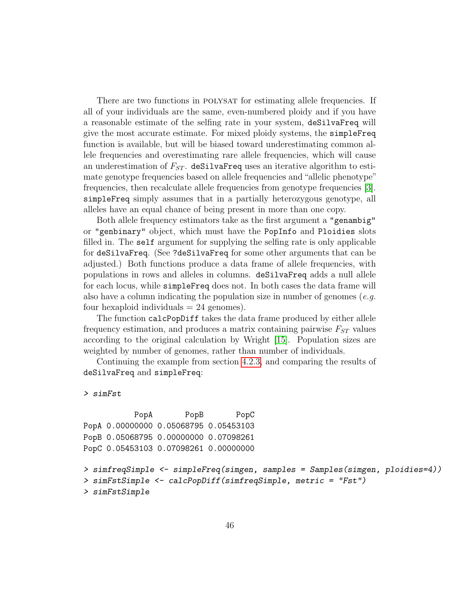There are two functions in POLYSAT for estimating allele frequencies. If all of your individuals are the same, even-numbered ploidy and if you have a reasonable estimate of the selfing rate in your system, deSilvaFreq will give the most accurate estimate. For mixed ploidy systems, the simpleFreq function is available, but will be biased toward underestimating common allele frequencies and overestimating rare allele frequencies, which will cause an underestimation of  $F_{ST}$ . deSilvaFreq uses an iterative algorithm to estimate genotype frequencies based on allele frequencies and "allelic phenotype" frequencies, then recalculate allele frequencies from genotype frequencies [\[3\]](#page-52-6). simpleFreq simply assumes that in a partially heterozygous genotype, all alleles have an equal chance of being present in more than one copy.

Both allele frequency estimators take as the first argument a "genambig" or "genbinary" object, which must have the PopInfo and Ploidies slots filled in. The self argument for supplying the selfing rate is only applicable for deSilvaFreq. (See ?deSilvaFreq for some other arguments that can be adjusted.) Both functions produce a data frame of allele frequencies, with populations in rows and alleles in columns. deSilvaFreq adds a null allele for each locus, while simpleFreq does not. In both cases the data frame will also have a column indicating the population size in number of genomes (*e.g.*) four hexaploid individuals  $= 24$  genomes).

The function calcPopDiff takes the data frame produced by either allele frequency estimation, and produces a matrix containing pairwise  $F_{ST}$  values according to the original calculation by Wright [\[15\]](#page-53-0). Population sizes are weighted by number of genomes, rather than number of individuals.

Continuing the example from section [4.2.3,](#page-14-0) and comparing the results of deSilvaFreq and simpleFreq:

> simFst

```
PopA PopB PopC
PopA 0.00000000 0.05068795 0.05453103
PopB 0.05068795 0.00000000 0.07098261
PopC 0.05453103 0.07098261 0.00000000
> simfreqSimple <- simpleFreq(simgen, samples = Samples(simgen, ploidies=4))
> simFstSimple <- calcPopDiff(simfreqSimple, metric = "Fst")
> simFstSimple
```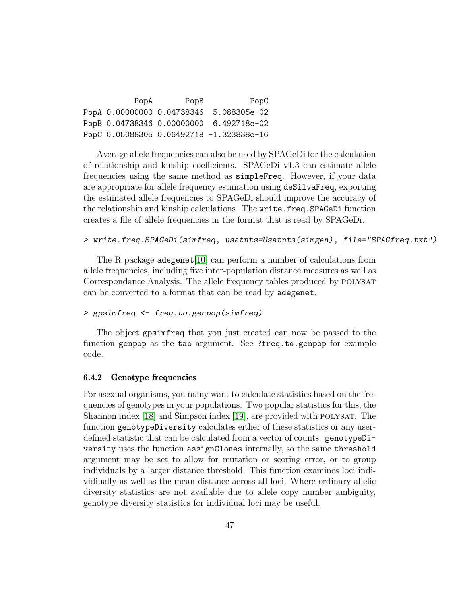| PopA | PopB                       | PopC                                     |
|------|----------------------------|------------------------------------------|
|      | PopA 0.00000000 0.04738346 | 5.088305e-02                             |
|      |                            | PopB 0.04738346 0.00000000 6.492718e-02  |
|      |                            | PopC 0.05088305 0.06492718 -1.323838e-16 |

Average allele frequencies can also be used by SPAGeDi for the calculation of relationship and kinship coefficients. SPAGeDi v1.3 can estimate allele frequencies using the same method as simpleFreq. However, if your data are appropriate for allele frequency estimation using deSilvaFreq, exporting the estimated allele frequencies to SPAGeDi should improve the accuracy of the relationship and kinship calculations. The write.freq.SPAGeDi function creates a file of allele frequencies in the format that is read by SPAGeDi.

#### > write.freq.SPAGeDi(simfreq, usatnts=Usatnts(simgen), file="SPAGfreq.txt")

The R package adegenet [\[10\]](#page-53-8) can perform a number of calculations from allele frequencies, including five inter-population distance measures as well as Correspondance Analysis. The allele frequency tables produced by polysat can be converted to a format that can be read by adegenet.

### > gpsimfreq <- freq.to.genpop(simfreq)

The object gpsimfreq that you just created can now be passed to the function genpop as the tab argument. See ?freq.to.genpop for example code.

#### <span id="page-46-0"></span>6.4.2 Genotype frequencies

For asexual organisms, you many want to calculate statistics based on the frequencies of genotypes in your populations. Two popular statistics for this, the Shannon index [\[18\]](#page-53-9) and Simpson index [\[19\]](#page-54-3), are provided with polysat. The function genotypeDiversity calculates either of these statistics or any userdefined statistic that can be calculated from a vector of counts. genotypeDiversity uses the function assignClones internally, so the same threshold argument may be set to allow for mutation or scoring error, or to group individuals by a larger distance threshold. This function examines loci individiually as well as the mean distance across all loci. Where ordinary allelic diversity statistics are not available due to allele copy number ambiguity, genotype diversity statistics for individual loci may be useful.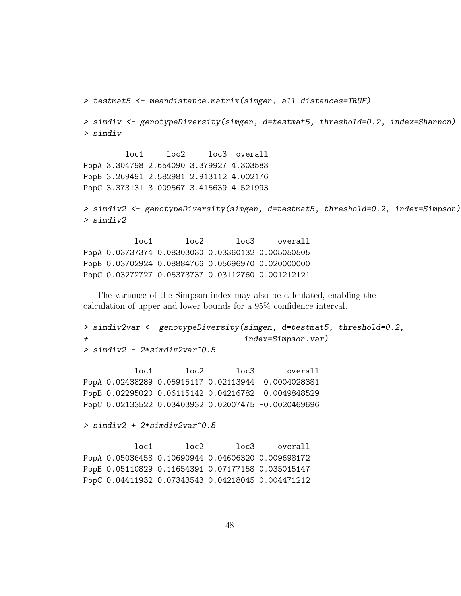```
> testmat5 <- meandistance.matrix(simgen, all.distances=TRUE)
> simdiv <- genotypeDiversity(simgen, d=testmat5, threshold=0.2, index=Shannon)
> simdiv
        loc1 loc2 loc3 overall
PopA 3.304798 2.654090 3.379927 4.303583
PopB 3.269491 2.582981 2.913112 4.002176
PopC 3.373131 3.009567 3.415639 4.521993
```

```
> simdiv2 <- genotypeDiversity(simgen, d=testmat5, threshold=0.2, index=Simpson)
> simdiv2
```
loc1 loc2 loc3 overall PopA 0.03737374 0.08303030 0.03360132 0.005050505 PopB 0.03702924 0.08884766 0.05696970 0.020000000 PopC 0.03272727 0.05373737 0.03112760 0.001212121

The variance of the Simpson index may also be calculated, enabling the calculation of upper and lower bounds for a 95% confidence interval.

```
> simdiv2var <- genotypeDiversity(simgen, d=testmat5, threshold=0.2,
                                  index=Simpson.var)
> simdiv2 - 2*simdiv2var^0.5
```
loc1 loc2 loc3 overall PopA 0.02438289 0.05915117 0.02113944 0.0004028381 PopB 0.02295020 0.06115142 0.04216782 0.0049848529 PopC 0.02133522 0.03403932 0.02007475 -0.0020469696

 $>$  simdiv2 + 2\*simdiv2var^0.5

loc1 loc2 loc3 overall PopA 0.05036458 0.10690944 0.04606320 0.009698172 PopB 0.05110829 0.11654391 0.07177158 0.035015147 PopC 0.04411932 0.07343543 0.04218045 0.004471212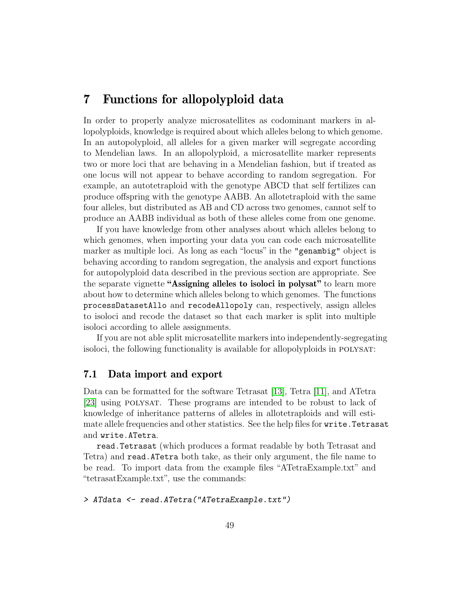## <span id="page-48-0"></span>7 Functions for allopolyploid data

In order to properly analyze microsatellites as codominant markers in allopolyploids, knowledge is required about which alleles belong to which genome. In an autopolyploid, all alleles for a given marker will segregate according to Mendelian laws. In an allopolyploid, a microsatellite marker represents two or more loci that are behaving in a Mendelian fashion, but if treated as one locus will not appear to behave according to random segregation. For example, an autotetraploid with the genotype ABCD that self fertilizes can produce offspring with the genotype AABB. An allotetraploid with the same four alleles, but distributed as AB and CD across two genomes, cannot self to produce an AABB individual as both of these alleles come from one genome.

If you have knowledge from other analyses about which alleles belong to which genomes, when importing your data you can code each microsatellite marker as multiple loci. As long as each "locus" in the "genambig" object is behaving according to random segregation, the analysis and export functions for autopolyploid data described in the previous section are appropriate. See the separate vignette "Assigning alleles to isoloci in polysat" to learn more about how to determine which alleles belong to which genomes. The functions processDatasetAllo and recodeAllopoly can, respectively, assign alleles to isoloci and recode the dataset so that each marker is split into multiple isoloci according to allele assignments.

If you are not able split microsatellite markers into independently-segregating isoloci, the following functionality is available for allopolyploids in polysat:

### <span id="page-48-1"></span>7.1 Data import and export

Data can be formatted for the software Tetrasat [\[13\]](#page-53-10), Tetra [\[11\]](#page-53-11), and ATetra [\[23\]](#page-54-4) using polysat. These programs are intended to be robust to lack of knowledge of inheritance patterns of alleles in allotetraploids and will estimate allele frequencies and other statistics. See the help files for write.Tetrasat and write.ATetra.

read.Tetrasat (which produces a format readable by both Tetrasat and Tetra) and read.ATetra both take, as their only argument, the file name to be read. To import data from the example files "ATetraExample.txt" and "tetrasatExample.txt", use the commands:

#### > ATdata <- read.ATetra("ATetraExample.txt")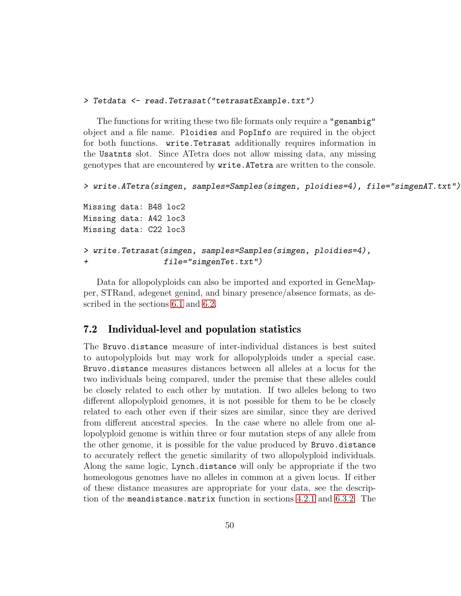#### > Tetdata <- read.Tetrasat("tetrasatExample.txt")

The functions for writing these two file formats only require a "genambig" object and a file name. Ploidies and PopInfo are required in the object for both functions. write.Tetrasat additionally requires information in the Usatnts slot. Since ATetra does not allow missing data, any missing genotypes that are encountered by write.ATetra are written to the console.

```
> write.ATetra(simgen, samples=Samples(simgen, ploidies=4), file="simgenAT.txt")
```
Missing data: B48 loc2 Missing data: A42 loc3 Missing data: C22 loc3

```
> write.Tetrasat(simgen, samples=Samples(simgen, ploidies=4),
+ file="simgenTet.txt")
```
Data for allopolyploids can also be imported and exported in GeneMapper, STRand, adegenet genind, and binary presence/absence formats, as described in the sections [6.1](#page-33-1) and [6.2.](#page-36-0)

### <span id="page-49-0"></span>7.2 Individual-level and population statistics

The Bruvo.distance measure of inter-individual distances is best suited to autopolyploids but may work for allopolyploids under a special case. Bruvo.distance measures distances between all alleles at a locus for the two individuals being compared, under the premise that these alleles could be closely related to each other by mutation. If two alleles belong to two different allopolyploid genomes, it is not possible for them to be be closely related to each other even if their sizes are similar, since they are derived from different ancestral species. In the case where no allele from one allopolyploid genome is within three or four mutation steps of any allele from the other genome, it is possible for the value produced by Bruvo.distance to accurately reflect the genetic similarity of two allopolyploid individuals. Along the same logic, Lynch.distance will only be appropriate if the two homeologous genomes have no alleles in common at a given locus. If either of these distance measures are appropriate for your data, see the description of the meandistance.matrix function in sections [4.2.1](#page-10-1) and [6.3.2.](#page-39-2) The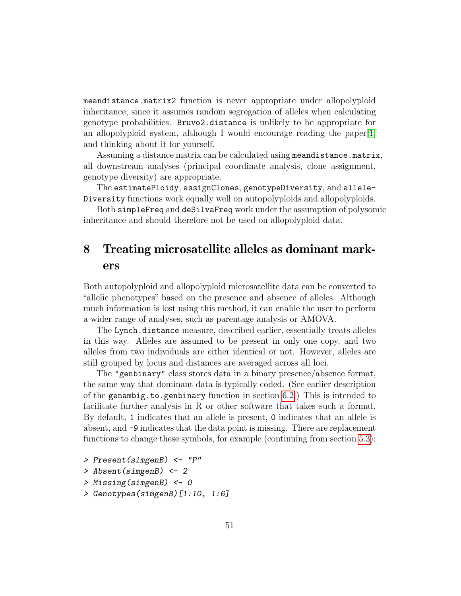meandistance.matrix2 function is never appropriate under allopolyploid inheritance, since it assumes random segregation of alleles when calculating genotype probabilities. Bruvo2.distance is unlikely to be appropriate for an allopolyploid system, although I would encourage reading the paper[\[1\]](#page-52-5) and thinking about it for yourself.

Assuming a distance matrix can be calculated using meandistance.matrix, all downstream analyses (principal coordinate analysis, clone assignment, genotype diversity) are appropriate.

The estimatePloidy, assignClones, genotypeDiversity, and allele-Diversity functions work equally well on autopolyploids and allopolyploids.

Both simpleFreq and deSilvaFreq work under the assumption of polysomic inheritance and should therefore not be used on allopolyploid data.

## <span id="page-50-0"></span>8 Treating microsatellite alleles as dominant markers

Both autopolyploid and allopolyploid microsatellite data can be converted to "allelic phenotypes" based on the presence and absence of alleles. Although much information is lost using this method, it can enable the user to perform a wider range of analyses, such as parentage analysis or AMOVA.

The Lynch.distance measure, described earlier, essentially treats alleles in this way. Alleles are assumed to be present in only one copy, and two alleles from two individuals are either identical or not. However, alleles are still grouped by locus and distances are averaged across all loci.

The "genbinary" class stores data in a binary presence/absence format, the same way that dominant data is typically coded. (See earlier description of the genambig.to.genbinary function in section [6.2.](#page-36-0)) This is intended to facilitate further analysis in R or other software that takes such a format. By default, 1 indicates that an allele is present, 0 indicates that an allele is absent, and -9 indicates that the data point is missing. There are replacement functions to change these symbols, for example (continuing from section [5.3\)](#page-30-0):

- > Present(simgenB) <- "P"
- > Absent(simgenB) <- 2
- > Missing(simgenB) <- 0
- > Genotypes(simgenB)[1:10, 1:6]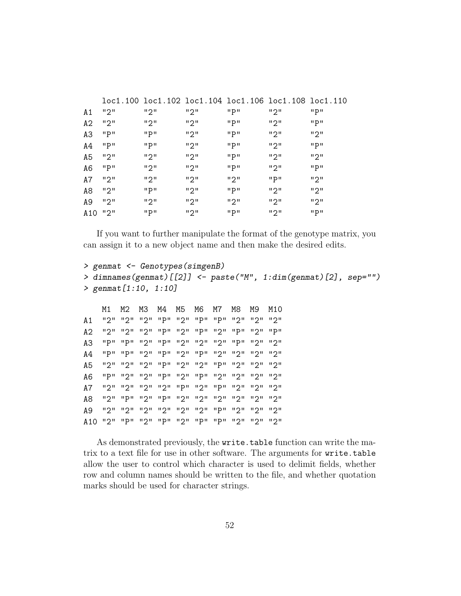| A1    | ייפיי | ייפיי | ייפיי | "P"    | ייפיי  | יי קיי |
|-------|-------|-------|-------|--------|--------|--------|
| A2    | ייפיי | ייפיי | ייפיי | "P"    | ייפיי  | "P"    |
| AЗ    | "P"   | "P"   | "2"   | "P"    | ייפיי  | ייפיי  |
| A4    | "P"   | "P"   | ייפיי | יי קיי | ייפיי  | "P"    |
| A5    | "2"   | ייפיי | ייפיי | "P"    | ייפיי  | ייפיי  |
| A6    | "P"   | "2"   | "2"   | יי קיי | "2"    | יי קיי |
| A7    | ייפיי | "2"   | ייפיי | ייפיי  | יי קיי | "2"    |
| A8    | "2"   | "P"   | "2"   | "P"    | "2"    | "2"    |
| A9    | "2"   | "2"   | "2"   | "2"    | ייפיי  | "2"    |
| A 1 0 | "2"   | "P"   | "2"   | "P"    | "2"    | יי קיי |

If you want to further manipulate the format of the genotype matrix, you can assign it to a new object name and then make the desired edits.

```
> genmat <- Genotypes(simgenB)
> dimnames(genmat)[[2]] <- paste("M", 1:dim(genmat)[2], sep="")
> genmat[1:10, 1:10]
```
M1 M2 M3 M4 M5 M6 M7 M8 M9 M10 A1 "2" "2" "2" "P" "2" "P" "P" "2" "2" "2" A2 "2" "2" "2" "P" "2" "P" "2" "P" "2" "P" A3 "P" "P" "2" "P" "2" "2" "2" "P" "2" "2" A4 "P" "P" "2" "P" "2" "P" "2" "2" "2" "2" A5 "2" "2" "2" "P" "2" "2" "P" "2" "2" "2" A6 "P" "2" "2" "P" "2" "P" "2" "2" "2" "2" A7 "2" "2" "2" "2" "P" "2" "P" "2" "2" "2" A8 "2" "P" "2" "P" "2" "2" "2" "2" "2" "2" A9 "2" "2" "2" "2" "2" "2" "P" "2" "2" "2" A10 "2" "P" "2" "P" "2" "P" "P" "2" "2" "2"

As demonstrated previously, the write.table function can write the matrix to a text file for use in other software. The arguments for write.table allow the user to control which character is used to delimit fields, whether row and column names should be written to the file, and whether quotation marks should be used for character strings.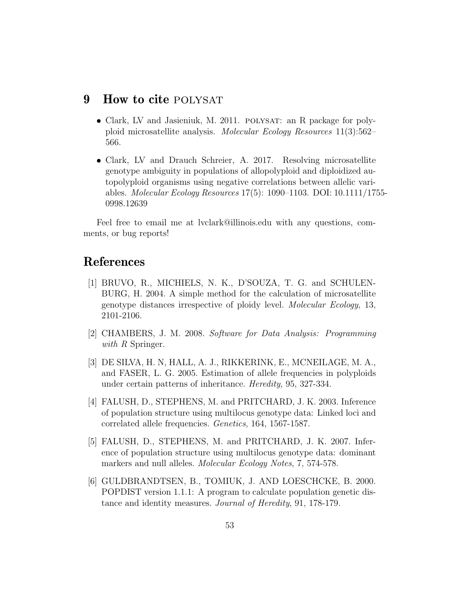## <span id="page-52-0"></span>9 How to cite POLYSAT

- Clark, LV and Jasieniuk, M. 2011. POLYSAT: an R package for polyploid microsatellite analysis. Molecular Ecology Resources 11(3):562– 566.
- Clark, LV and Drauch Schreier, A. 2017. Resolving microsatellite genotype ambiguity in populations of allopolyploid and diploidized autopolyploid organisms using negative correlations between allelic variables. Molecular Ecology Resources 17(5): 1090–1103. DOI: 10.1111/1755- 0998.12639

Feel free to email me at lvclark@illinois.edu with any questions, comments, or bug reports!

## References

- <span id="page-52-5"></span>[1] BRUVO, R., MICHIELS, N. K., D'SOUZA, T. G. and SCHULEN-BURG, H. 2004. A simple method for the calculation of microsatellite genotype distances irrespective of ploidy level. Molecular Ecology, 13, 2101-2106.
- <span id="page-52-1"></span>[2] CHAMBERS, J. M. 2008. Software for Data Analysis: Programming with R Springer.
- <span id="page-52-6"></span>[3] DE SILVA, H. N, HALL, A. J., RIKKERINK, E., MCNEILAGE, M. A., and FASER, L. G. 2005. Estimation of allele frequencies in polyploids under certain patterns of inheritance. Heredity, 95, 327-334.
- <span id="page-52-3"></span>[4] FALUSH, D., STEPHENS, M. and PRITCHARD, J. K. 2003. Inference of population structure using multilocus genotype data: Linked loci and correlated allele frequencies. Genetics, 164, 1567-1587.
- <span id="page-52-2"></span>[5] FALUSH, D., STEPHENS, M. and PRITCHARD, J. K. 2007. Inference of population structure using multilocus genotype data: dominant markers and null alleles. *Molecular Ecology Notes*, 7, 574-578.
- <span id="page-52-4"></span>[6] GULDBRANDTSEN, B., TOMIUK, J. AND LOESCHCKE, B. 2000. POPDIST version 1.1.1: A program to calculate population genetic distance and identity measures. Journal of Heredity, 91, 178-179.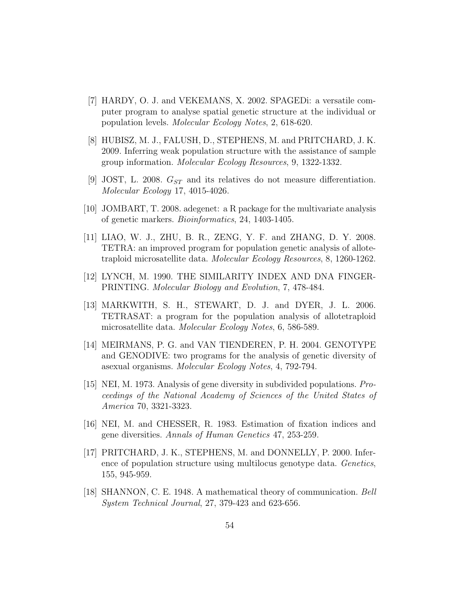- <span id="page-53-5"></span>[7] HARDY, O. J. and VEKEMANS, X. 2002. SPAGEDi: a versatile computer program to analyse spatial genetic structure at the individual or population levels. Molecular Ecology Notes, 2, 618-620.
- <span id="page-53-4"></span>[8] HUBISZ, M. J., FALUSH, D., STEPHENS, M. and PRITCHARD, J. K. 2009. Inferring weak population structure with the assistance of sample group information. Molecular Ecology Resources, 9, 1322-1332.
- <span id="page-53-2"></span>[9] JOST, L. 2008.  $G_{ST}$  and its relatives do not measure differentiation. Molecular Ecology 17, 4015-4026.
- <span id="page-53-8"></span>[10] JOMBART, T. 2008. adegenet: a R package for the multivariate analysis of genetic markers. Bioinformatics, 24, 1403-1405.
- <span id="page-53-11"></span>[11] LIAO, W. J., ZHU, B. R., ZENG, Y. F. and ZHANG, D. Y. 2008. TETRA: an improved program for population genetic analysis of allotetraploid microsatellite data. Molecular Ecology Resources, 8, 1260-1262.
- <span id="page-53-7"></span>[12] LYNCH, M. 1990. THE SIMILARITY INDEX AND DNA FINGER-PRINTING. Molecular Biology and Evolution, 7, 478-484.
- <span id="page-53-10"></span>[13] MARKWITH, S. H., STEWART, D. J. and DYER, J. L. 2006. TETRASAT: a program for the population analysis of allotetraploid microsatellite data. Molecular Ecology Notes, 6, 586-589.
- <span id="page-53-6"></span>[14] MEIRMANS, P. G. and VAN TIENDEREN, P. H. 2004. GENOTYPE and GENODIVE: two programs for the analysis of genetic diversity of asexual organisms. Molecular Ecology Notes, 4, 792-794.
- <span id="page-53-0"></span>[15] NEI, M. 1973. Analysis of gene diversity in subdivided populations. Proceedings of the National Academy of Sciences of the United States of America 70, 3321-3323.
- <span id="page-53-1"></span>[16] NEI, M. and CHESSER, R. 1983. Estimation of fixation indices and gene diversities. Annals of Human Genetics 47, 253-259.
- <span id="page-53-3"></span>[17] PRITCHARD, J. K., STEPHENS, M. and DONNELLY, P. 2000. Inference of population structure using multilocus genotype data. Genetics, 155, 945-959.
- <span id="page-53-9"></span>[18] SHANNON, C. E. 1948. A mathematical theory of communication. Bell System Technical Journal, 27, 379-423 and 623-656.